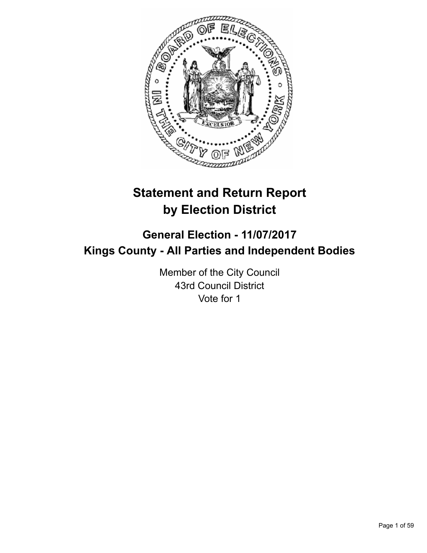

# **Statement and Return Report by Election District**

## **General Election - 11/07/2017 Kings County - All Parties and Independent Bodies**

Member of the City Council 43rd Council District Vote for 1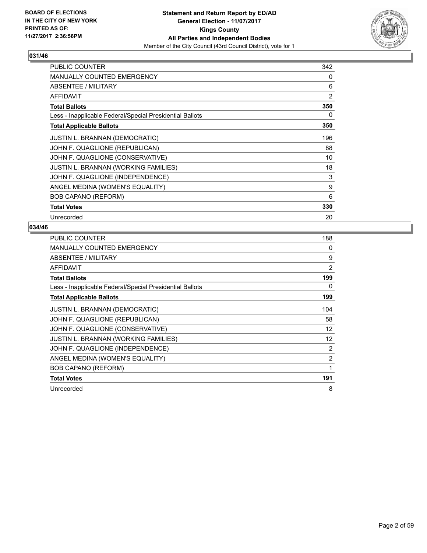

| <b>PUBLIC COUNTER</b>                                    | 342            |
|----------------------------------------------------------|----------------|
| <b>MANUALLY COUNTED EMERGENCY</b>                        | 0              |
| ABSENTEE / MILITARY                                      | 6              |
| <b>AFFIDAVIT</b>                                         | $\overline{2}$ |
| <b>Total Ballots</b>                                     | 350            |
| Less - Inapplicable Federal/Special Presidential Ballots | 0              |
| <b>Total Applicable Ballots</b>                          | 350            |
| <b>JUSTIN L. BRANNAN (DEMOCRATIC)</b>                    | 196            |
| JOHN F. QUAGLIONE (REPUBLICAN)                           | 88             |
| JOHN F. QUAGLIONE (CONSERVATIVE)                         | 10             |
| <b>JUSTIN L. BRANNAN (WORKING FAMILIES)</b>              | 18             |
| JOHN F. QUAGLIONE (INDEPENDENCE)                         | 3              |
| ANGEL MEDINA (WOMEN'S EQUALITY)                          | 9              |
| <b>BOB CAPANO (REFORM)</b>                               | 6              |
| <b>Total Votes</b>                                       | 330            |
| Unrecorded                                               | 20             |

| <b>PUBLIC COUNTER</b>                                    | 188 |
|----------------------------------------------------------|-----|
| MANUALLY COUNTED EMERGENCY                               | 0   |
| ABSENTEE / MILITARY                                      | 9   |
| <b>AFFIDAVIT</b>                                         | 2   |
| <b>Total Ballots</b>                                     | 199 |
| Less - Inapplicable Federal/Special Presidential Ballots | 0   |
| <b>Total Applicable Ballots</b>                          | 199 |
| <b>JUSTIN L. BRANNAN (DEMOCRATIC)</b>                    | 104 |
| JOHN F. QUAGLIONE (REPUBLICAN)                           | 58  |
| JOHN F. QUAGLIONE (CONSERVATIVE)                         | 12  |
| <b>JUSTIN L. BRANNAN (WORKING FAMILIES)</b>              | 12  |
| JOHN F. QUAGLIONE (INDEPENDENCE)                         | 2   |
| ANGEL MEDINA (WOMEN'S EQUALITY)                          | 2   |
| <b>BOB CAPANO (REFORM)</b>                               | 1   |
| <b>Total Votes</b>                                       | 191 |
| Unrecorded                                               | 8   |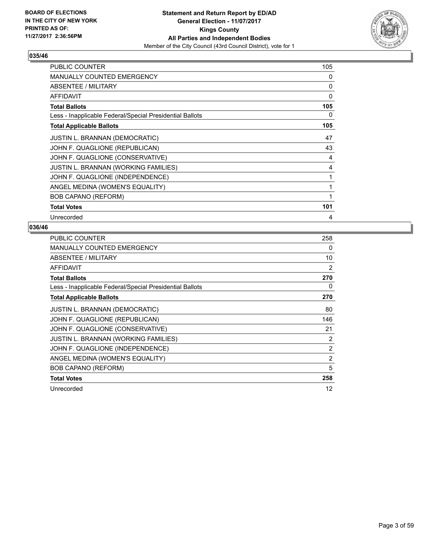

| <b>PUBLIC COUNTER</b>                                    | 105          |
|----------------------------------------------------------|--------------|
| <b>MANUALLY COUNTED EMERGENCY</b>                        | 0            |
| ABSENTEE / MILITARY                                      | 0            |
| <b>AFFIDAVIT</b>                                         | $\mathbf{0}$ |
| <b>Total Ballots</b>                                     | 105          |
| Less - Inapplicable Federal/Special Presidential Ballots | 0            |
| <b>Total Applicable Ballots</b>                          | 105          |
| <b>JUSTIN L. BRANNAN (DEMOCRATIC)</b>                    | 47           |
| JOHN F. QUAGLIONE (REPUBLICAN)                           | 43           |
| JOHN F. QUAGLIONE (CONSERVATIVE)                         | 4            |
| <b>JUSTIN L. BRANNAN (WORKING FAMILIES)</b>              | 4            |
| JOHN F. QUAGLIONE (INDEPENDENCE)                         | 1            |
| ANGEL MEDINA (WOMEN'S EQUALITY)                          | 1            |
| <b>BOB CAPANO (REFORM)</b>                               | 1            |
| <b>Total Votes</b>                                       | 101          |
| Unrecorded                                               | 4            |

| <b>PUBLIC COUNTER</b>                                    | 258            |
|----------------------------------------------------------|----------------|
| <b>MANUALLY COUNTED EMERGENCY</b>                        | 0              |
| ABSENTEE / MILITARY                                      | 10             |
| <b>AFFIDAVIT</b>                                         | 2              |
| <b>Total Ballots</b>                                     | 270            |
| Less - Inapplicable Federal/Special Presidential Ballots | 0              |
| <b>Total Applicable Ballots</b>                          | 270            |
| <b>JUSTIN L. BRANNAN (DEMOCRATIC)</b>                    | 80             |
| JOHN F. QUAGLIONE (REPUBLICAN)                           | 146            |
| JOHN F. QUAGLIONE (CONSERVATIVE)                         | 21             |
| <b>JUSTIN L. BRANNAN (WORKING FAMILIES)</b>              | 2              |
| JOHN F. QUAGLIONE (INDEPENDENCE)                         | $\overline{2}$ |
| ANGEL MEDINA (WOMEN'S EQUALITY)                          | $\overline{2}$ |
| <b>BOB CAPANO (REFORM)</b>                               | 5              |
| <b>Total Votes</b>                                       | 258            |
| Unrecorded                                               | 12             |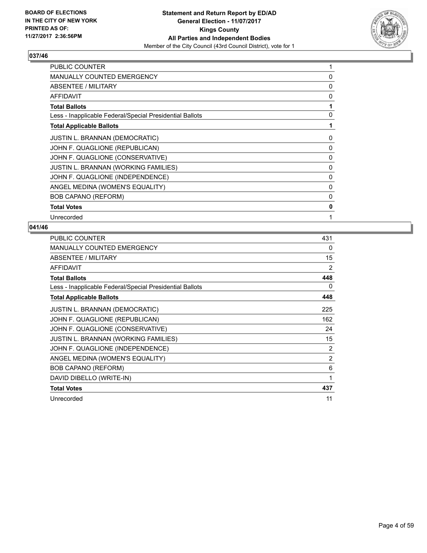

| <b>PUBLIC COUNTER</b>                                    |          |
|----------------------------------------------------------|----------|
| <b>MANUALLY COUNTED EMERGENCY</b>                        | 0        |
| ABSENTEE / MILITARY                                      | 0        |
| AFFIDAVIT                                                | 0        |
| <b>Total Ballots</b>                                     |          |
| Less - Inapplicable Federal/Special Presidential Ballots | 0        |
| <b>Total Applicable Ballots</b>                          |          |
| <b>JUSTIN L. BRANNAN (DEMOCRATIC)</b>                    | 0        |
| JOHN F. QUAGLIONE (REPUBLICAN)                           | $\Omega$ |
| JOHN F. QUAGLIONE (CONSERVATIVE)                         | 0        |
| JUSTIN L. BRANNAN (WORKING FAMILIES)                     | 0        |
| JOHN F. QUAGLIONE (INDEPENDENCE)                         | 0        |
| ANGEL MEDINA (WOMEN'S EQUALITY)                          | $\Omega$ |
| <b>BOB CAPANO (REFORM)</b>                               | 0        |
| <b>Total Votes</b>                                       | 0        |
| Unrecorded                                               |          |

| <b>PUBLIC COUNTER</b>                                    | 431 |
|----------------------------------------------------------|-----|
| <b>MANUALLY COUNTED EMERGENCY</b>                        | 0   |
| ABSENTEE / MILITARY                                      | 15  |
| AFFIDAVIT                                                | 2   |
| <b>Total Ballots</b>                                     | 448 |
| Less - Inapplicable Federal/Special Presidential Ballots | 0   |
| <b>Total Applicable Ballots</b>                          | 448 |
| <b>JUSTIN L. BRANNAN (DEMOCRATIC)</b>                    | 225 |
| JOHN F. QUAGLIONE (REPUBLICAN)                           | 162 |
| JOHN F. QUAGLIONE (CONSERVATIVE)                         | 24  |
| <b>JUSTIN L. BRANNAN (WORKING FAMILIES)</b>              | 15  |
| JOHN F. QUAGLIONE (INDEPENDENCE)                         | 2   |
| ANGEL MEDINA (WOMEN'S EQUALITY)                          | 2   |
| <b>BOB CAPANO (REFORM)</b>                               | 6   |
| DAVID DIBELLO (WRITE-IN)                                 | 1   |
| <b>Total Votes</b>                                       | 437 |
| Unrecorded                                               | 11  |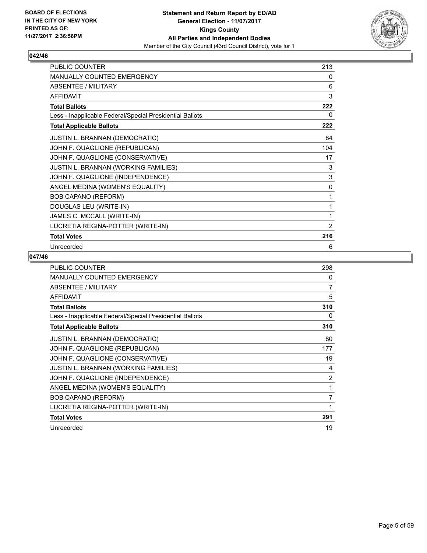

| <b>PUBLIC COUNTER</b>                                    | 213            |
|----------------------------------------------------------|----------------|
| <b>MANUALLY COUNTED EMERGENCY</b>                        | 0              |
| <b>ABSENTEE / MILITARY</b>                               | 6              |
| <b>AFFIDAVIT</b>                                         | 3              |
| <b>Total Ballots</b>                                     | 222            |
| Less - Inapplicable Federal/Special Presidential Ballots | 0              |
| <b>Total Applicable Ballots</b>                          | 222            |
| JUSTIN L. BRANNAN (DEMOCRATIC)                           | 84             |
| JOHN F. QUAGLIONE (REPUBLICAN)                           | 104            |
| JOHN F. QUAGLIONE (CONSERVATIVE)                         | 17             |
| JUSTIN L. BRANNAN (WORKING FAMILIES)                     | 3              |
| JOHN F. QUAGLIONE (INDEPENDENCE)                         | 3              |
| ANGEL MEDINA (WOMEN'S EQUALITY)                          | 0              |
| <b>BOB CAPANO (REFORM)</b>                               | 1              |
| DOUGLAS LEU (WRITE-IN)                                   | 1              |
| JAMES C. MCCALL (WRITE-IN)                               | 1              |
| LUCRETIA REGINA-POTTER (WRITE-IN)                        | $\overline{2}$ |
| <b>Total Votes</b>                                       | 216            |
| Unrecorded                                               | 6              |

| <b>PUBLIC COUNTER</b>                                    | 298            |
|----------------------------------------------------------|----------------|
| <b>MANUALLY COUNTED EMERGENCY</b>                        | 0              |
| ABSENTEE / MILITARY                                      | 7              |
| <b>AFFIDAVIT</b>                                         | 5              |
| <b>Total Ballots</b>                                     | 310            |
| Less - Inapplicable Federal/Special Presidential Ballots | 0              |
| <b>Total Applicable Ballots</b>                          | 310            |
| <b>JUSTIN L. BRANNAN (DEMOCRATIC)</b>                    | 80             |
| JOHN F. QUAGLIONE (REPUBLICAN)                           | 177            |
| JOHN F. QUAGLIONE (CONSERVATIVE)                         | 19             |
| JUSTIN L. BRANNAN (WORKING FAMILIES)                     | 4              |
| JOHN F. QUAGLIONE (INDEPENDENCE)                         | $\overline{2}$ |
| ANGEL MEDINA (WOMEN'S EQUALITY)                          | 1              |
| <b>BOB CAPANO (REFORM)</b>                               | 7              |
| LUCRETIA REGINA-POTTER (WRITE-IN)                        | 1              |
| <b>Total Votes</b>                                       | 291            |
| Unrecorded                                               | 19             |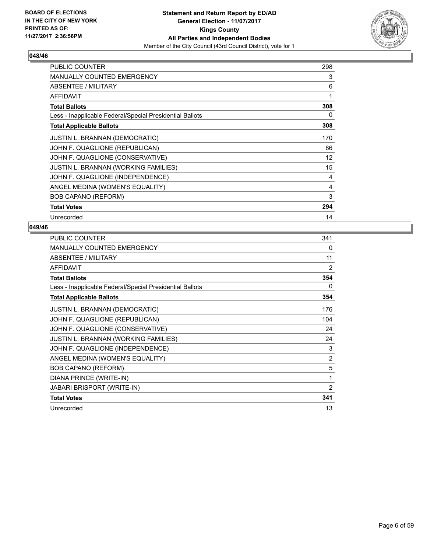

| <b>PUBLIC COUNTER</b>                                    | 298 |
|----------------------------------------------------------|-----|
| <b>MANUALLY COUNTED EMERGENCY</b>                        | 3   |
| ABSENTEE / MILITARY                                      | 6   |
| <b>AFFIDAVIT</b>                                         | 1   |
| <b>Total Ballots</b>                                     | 308 |
| Less - Inapplicable Federal/Special Presidential Ballots | 0   |
| <b>Total Applicable Ballots</b>                          | 308 |
| <b>JUSTIN L. BRANNAN (DEMOCRATIC)</b>                    | 170 |
| JOHN F. QUAGLIONE (REPUBLICAN)                           | 86  |
| JOHN F. QUAGLIONE (CONSERVATIVE)                         | 12  |
| <b>JUSTIN L. BRANNAN (WORKING FAMILIES)</b>              | 15  |
| JOHN F. QUAGLIONE (INDEPENDENCE)                         | 4   |
| ANGEL MEDINA (WOMEN'S EQUALITY)                          | 4   |
| <b>BOB CAPANO (REFORM)</b>                               | 3   |
| <b>Total Votes</b>                                       | 294 |
| Unrecorded                                               | 14  |

| <b>PUBLIC COUNTER</b>                                    | 341            |
|----------------------------------------------------------|----------------|
| MANUALLY COUNTED EMERGENCY                               | 0              |
| ABSENTEE / MILITARY                                      | 11             |
| <b>AFFIDAVIT</b>                                         | $\overline{2}$ |
| <b>Total Ballots</b>                                     | 354            |
| Less - Inapplicable Federal/Special Presidential Ballots | 0              |
| <b>Total Applicable Ballots</b>                          | 354            |
| <b>JUSTIN L. BRANNAN (DEMOCRATIC)</b>                    | 176            |
| JOHN F. QUAGLIONE (REPUBLICAN)                           | 104            |
| JOHN F. QUAGLIONE (CONSERVATIVE)                         | 24             |
| JUSTIN L. BRANNAN (WORKING FAMILIES)                     | 24             |
| JOHN F. QUAGLIONE (INDEPENDENCE)                         | 3              |
| ANGEL MEDINA (WOMEN'S EQUALITY)                          | 2              |
| <b>BOB CAPANO (REFORM)</b>                               | 5              |
| DIANA PRINCE (WRITE-IN)                                  | 1              |
| <b>JABARI BRISPORT (WRITE-IN)</b>                        | 2              |
| <b>Total Votes</b>                                       | 341            |
| Unrecorded                                               | 13             |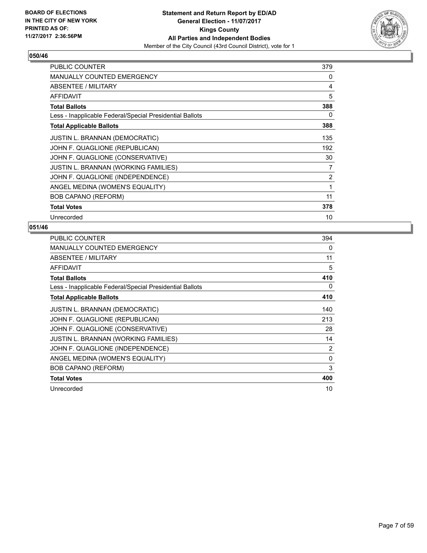

| <b>PUBLIC COUNTER</b>                                    | 379 |
|----------------------------------------------------------|-----|
| <b>MANUALLY COUNTED EMERGENCY</b>                        | 0   |
| ABSENTEE / MILITARY                                      | 4   |
| <b>AFFIDAVIT</b>                                         | 5   |
| <b>Total Ballots</b>                                     | 388 |
| Less - Inapplicable Federal/Special Presidential Ballots | 0   |
| <b>Total Applicable Ballots</b>                          | 388 |
| <b>JUSTIN L. BRANNAN (DEMOCRATIC)</b>                    | 135 |
| JOHN F. QUAGLIONE (REPUBLICAN)                           | 192 |
| JOHN F. QUAGLIONE (CONSERVATIVE)                         | 30  |
| <b>JUSTIN L. BRANNAN (WORKING FAMILIES)</b>              | 7   |
| JOHN F. QUAGLIONE (INDEPENDENCE)                         | 2   |
| ANGEL MEDINA (WOMEN'S EQUALITY)                          | 1   |
| <b>BOB CAPANO (REFORM)</b>                               | 11  |
| <b>Total Votes</b>                                       | 378 |
| Unrecorded                                               | 10  |

| <b>PUBLIC COUNTER</b>                                    | 394            |
|----------------------------------------------------------|----------------|
| <b>MANUALLY COUNTED EMERGENCY</b>                        | 0              |
| ABSENTEE / MILITARY                                      | 11             |
| <b>AFFIDAVIT</b>                                         | 5              |
| <b>Total Ballots</b>                                     | 410            |
| Less - Inapplicable Federal/Special Presidential Ballots | 0              |
| <b>Total Applicable Ballots</b>                          | 410            |
| <b>JUSTIN L. BRANNAN (DEMOCRATIC)</b>                    | 140            |
| JOHN F. QUAGLIONE (REPUBLICAN)                           | 213            |
| JOHN F. QUAGLIONE (CONSERVATIVE)                         | 28             |
| <b>JUSTIN L. BRANNAN (WORKING FAMILIES)</b>              | 14             |
| JOHN F. QUAGLIONE (INDEPENDENCE)                         | $\overline{2}$ |
| ANGEL MEDINA (WOMEN'S EQUALITY)                          | 0              |
| <b>BOB CAPANO (REFORM)</b>                               | 3              |
| <b>Total Votes</b>                                       | 400            |
| Unrecorded                                               | 10             |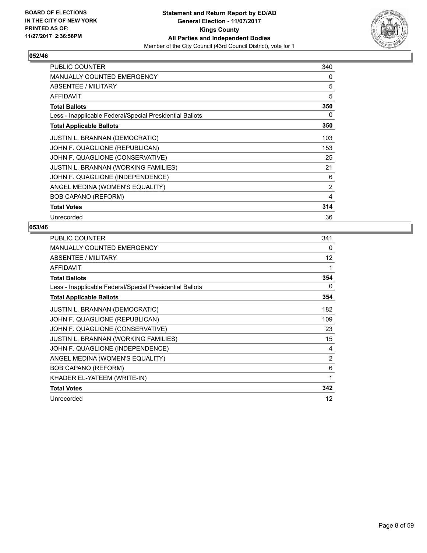

| <b>PUBLIC COUNTER</b>                                    | 340 |
|----------------------------------------------------------|-----|
| <b>MANUALLY COUNTED EMERGENCY</b>                        | 0   |
| ABSENTEE / MILITARY                                      | 5   |
| <b>AFFIDAVIT</b>                                         | 5   |
| <b>Total Ballots</b>                                     | 350 |
| Less - Inapplicable Federal/Special Presidential Ballots | 0   |
| <b>Total Applicable Ballots</b>                          | 350 |
| <b>JUSTIN L. BRANNAN (DEMOCRATIC)</b>                    | 103 |
| JOHN F. QUAGLIONE (REPUBLICAN)                           | 153 |
| JOHN F. QUAGLIONE (CONSERVATIVE)                         | 25  |
| JUSTIN L. BRANNAN (WORKING FAMILIES)                     | 21  |
| JOHN F. QUAGLIONE (INDEPENDENCE)                         | 6   |
| ANGEL MEDINA (WOMEN'S EQUALITY)                          | 2   |
| <b>BOB CAPANO (REFORM)</b>                               | 4   |
| <b>Total Votes</b>                                       | 314 |
| Unrecorded                                               | 36  |

| <b>PUBLIC COUNTER</b>                                    | 341            |
|----------------------------------------------------------|----------------|
| <b>MANUALLY COUNTED EMERGENCY</b>                        | 0              |
| ABSENTEE / MILITARY                                      | 12             |
| <b>AFFIDAVIT</b>                                         | 1              |
| <b>Total Ballots</b>                                     | 354            |
| Less - Inapplicable Federal/Special Presidential Ballots | 0              |
| <b>Total Applicable Ballots</b>                          | 354            |
| <b>JUSTIN L. BRANNAN (DEMOCRATIC)</b>                    | 182            |
| JOHN F. QUAGLIONE (REPUBLICAN)                           | 109            |
| JOHN F. QUAGLIONE (CONSERVATIVE)                         | 23             |
| <b>JUSTIN L. BRANNAN (WORKING FAMILIES)</b>              | 15             |
| JOHN F. QUAGLIONE (INDEPENDENCE)                         | 4              |
| ANGEL MEDINA (WOMEN'S EQUALITY)                          | $\overline{2}$ |
| <b>BOB CAPANO (REFORM)</b>                               | 6              |
| KHADER EL-YATEEM (WRITE-IN)                              | 1              |
| <b>Total Votes</b>                                       | 342            |
| Unrecorded                                               | 12             |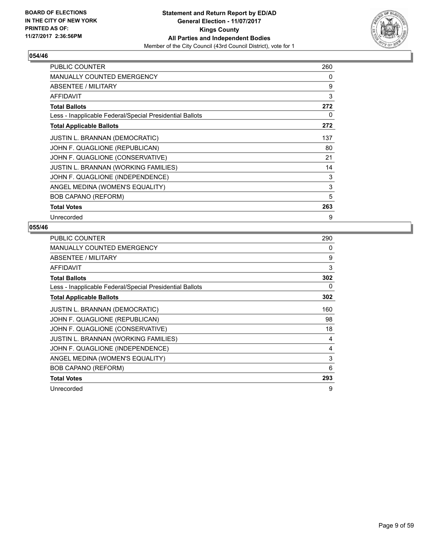

| <b>PUBLIC COUNTER</b>                                    | 260 |
|----------------------------------------------------------|-----|
| MANUALLY COUNTED EMERGENCY                               | 0   |
| ABSENTEE / MILITARY                                      | 9   |
| <b>AFFIDAVIT</b>                                         | 3   |
| <b>Total Ballots</b>                                     | 272 |
| Less - Inapplicable Federal/Special Presidential Ballots | 0   |
| <b>Total Applicable Ballots</b>                          | 272 |
| <b>JUSTIN L. BRANNAN (DEMOCRATIC)</b>                    | 137 |
| JOHN F. QUAGLIONE (REPUBLICAN)                           | 80  |
| JOHN F. QUAGLIONE (CONSERVATIVE)                         | 21  |
| <b>JUSTIN L. BRANNAN (WORKING FAMILIES)</b>              | 14  |
| JOHN F. QUAGLIONE (INDEPENDENCE)                         | 3   |
| ANGEL MEDINA (WOMEN'S EQUALITY)                          | 3   |
| <b>BOB CAPANO (REFORM)</b>                               | 5   |
| <b>Total Votes</b>                                       | 263 |
| Unrecorded                                               | 9   |

| <b>PUBLIC COUNTER</b>                                    | 290 |
|----------------------------------------------------------|-----|
| <b>MANUALLY COUNTED EMERGENCY</b>                        | 0   |
| ABSENTEE / MILITARY                                      | 9   |
| AFFIDAVIT                                                | 3   |
| <b>Total Ballots</b>                                     | 302 |
| Less - Inapplicable Federal/Special Presidential Ballots | 0   |
| <b>Total Applicable Ballots</b>                          | 302 |
| <b>JUSTIN L. BRANNAN (DEMOCRATIC)</b>                    | 160 |
| JOHN F. QUAGLIONE (REPUBLICAN)                           | 98  |
| JOHN F. QUAGLIONE (CONSERVATIVE)                         | 18  |
| JUSTIN L. BRANNAN (WORKING FAMILIES)                     | 4   |
| JOHN F. QUAGLIONE (INDEPENDENCE)                         | 4   |
| ANGEL MEDINA (WOMEN'S EQUALITY)                          | 3   |
| <b>BOB CAPANO (REFORM)</b>                               | 6   |
| <b>Total Votes</b>                                       | 293 |
| Unrecorded                                               | 9   |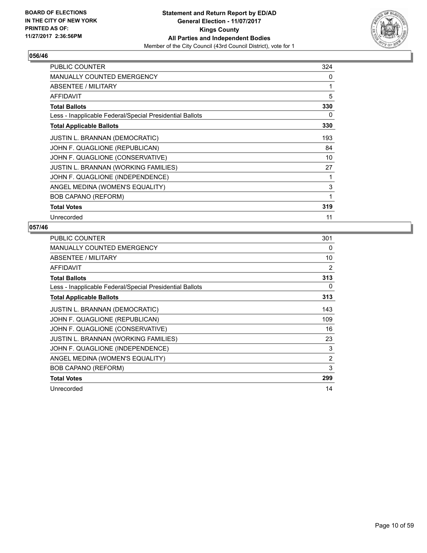

| <b>PUBLIC COUNTER</b>                                    | 324 |
|----------------------------------------------------------|-----|
| <b>MANUALLY COUNTED EMERGENCY</b>                        | 0   |
| ABSENTEE / MILITARY                                      | 1   |
| <b>AFFIDAVIT</b>                                         | 5   |
| <b>Total Ballots</b>                                     | 330 |
| Less - Inapplicable Federal/Special Presidential Ballots | 0   |
| <b>Total Applicable Ballots</b>                          | 330 |
| <b>JUSTIN L. BRANNAN (DEMOCRATIC)</b>                    | 193 |
| JOHN F. QUAGLIONE (REPUBLICAN)                           | 84  |
| JOHN F. QUAGLIONE (CONSERVATIVE)                         | 10  |
| <b>JUSTIN L. BRANNAN (WORKING FAMILIES)</b>              | 27  |
| JOHN F. QUAGLIONE (INDEPENDENCE)                         | 1   |
| ANGEL MEDINA (WOMEN'S EQUALITY)                          | 3   |
| <b>BOB CAPANO (REFORM)</b>                               | 1   |
| <b>Total Votes</b>                                       | 319 |
| Unrecorded                                               | 11  |

| <b>PUBLIC COUNTER</b>                                    | 301 |
|----------------------------------------------------------|-----|
| <b>MANUALLY COUNTED EMERGENCY</b>                        | 0   |
| ABSENTEE / MILITARY                                      | 10  |
| <b>AFFIDAVIT</b>                                         | 2   |
| <b>Total Ballots</b>                                     | 313 |
| Less - Inapplicable Federal/Special Presidential Ballots | 0   |
| <b>Total Applicable Ballots</b>                          | 313 |
| <b>JUSTIN L. BRANNAN (DEMOCRATIC)</b>                    | 143 |
| JOHN F. QUAGLIONE (REPUBLICAN)                           | 109 |
| JOHN F. QUAGLIONE (CONSERVATIVE)                         | 16  |
| JUSTIN L. BRANNAN (WORKING FAMILIES)                     | 23  |
| JOHN F. QUAGLIONE (INDEPENDENCE)                         | 3   |
| ANGEL MEDINA (WOMEN'S EQUALITY)                          | 2   |
| <b>BOB CAPANO (REFORM)</b>                               | 3   |
| <b>Total Votes</b>                                       | 299 |
| Unrecorded                                               | 14  |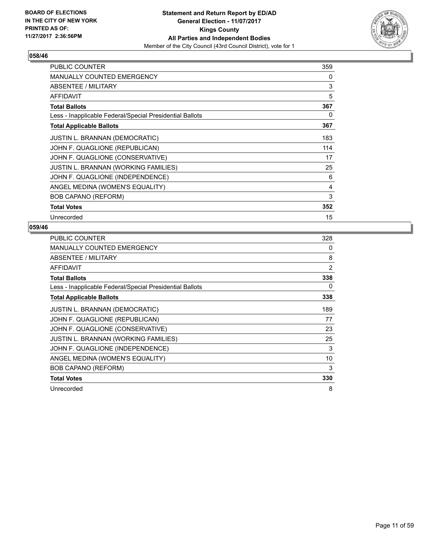

| <b>PUBLIC COUNTER</b>                                    | 359 |
|----------------------------------------------------------|-----|
| <b>MANUALLY COUNTED EMERGENCY</b>                        | 0   |
| ABSENTEE / MILITARY                                      | 3   |
| <b>AFFIDAVIT</b>                                         | 5   |
| <b>Total Ballots</b>                                     | 367 |
| Less - Inapplicable Federal/Special Presidential Ballots | 0   |
| <b>Total Applicable Ballots</b>                          | 367 |
| <b>JUSTIN L. BRANNAN (DEMOCRATIC)</b>                    | 183 |
| JOHN F. QUAGLIONE (REPUBLICAN)                           | 114 |
| JOHN F. QUAGLIONE (CONSERVATIVE)                         | 17  |
| JUSTIN L. BRANNAN (WORKING FAMILIES)                     | 25  |
| JOHN F. QUAGLIONE (INDEPENDENCE)                         | 6   |
| ANGEL MEDINA (WOMEN'S EQUALITY)                          | 4   |
| <b>BOB CAPANO (REFORM)</b>                               | 3   |
| <b>Total Votes</b>                                       | 352 |
| Unrecorded                                               | 15  |

| <b>PUBLIC COUNTER</b>                                    | 328            |
|----------------------------------------------------------|----------------|
| <b>MANUALLY COUNTED EMERGENCY</b>                        | 0              |
| ABSENTEE / MILITARY                                      | 8              |
| <b>AFFIDAVIT</b>                                         | $\overline{2}$ |
| <b>Total Ballots</b>                                     | 338            |
| Less - Inapplicable Federal/Special Presidential Ballots | 0              |
| <b>Total Applicable Ballots</b>                          | 338            |
| <b>JUSTIN L. BRANNAN (DEMOCRATIC)</b>                    | 189            |
| JOHN F. QUAGLIONE (REPUBLICAN)                           | 77             |
| JOHN F. QUAGLIONE (CONSERVATIVE)                         | 23             |
| JUSTIN L. BRANNAN (WORKING FAMILIES)                     | 25             |
| JOHN F. QUAGLIONE (INDEPENDENCE)                         | 3              |
| ANGEL MEDINA (WOMEN'S EQUALITY)                          | 10             |
| <b>BOB CAPANO (REFORM)</b>                               | 3              |
| <b>Total Votes</b>                                       | 330            |
| Unrecorded                                               | 8              |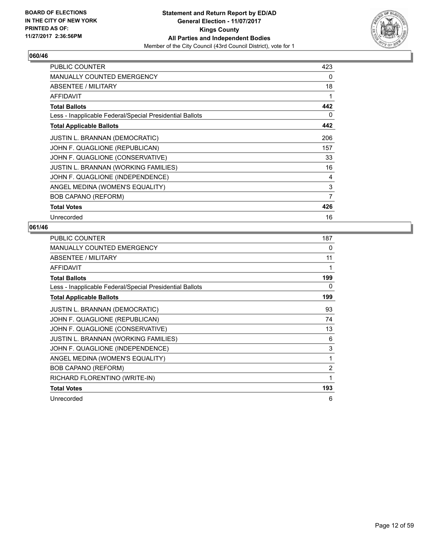

| <b>PUBLIC COUNTER</b>                                    | 423 |
|----------------------------------------------------------|-----|
| <b>MANUALLY COUNTED EMERGENCY</b>                        | 0   |
| ABSENTEE / MILITARY                                      | 18  |
| <b>AFFIDAVIT</b>                                         | 1   |
| <b>Total Ballots</b>                                     | 442 |
| Less - Inapplicable Federal/Special Presidential Ballots | 0   |
| <b>Total Applicable Ballots</b>                          | 442 |
| <b>JUSTIN L. BRANNAN (DEMOCRATIC)</b>                    | 206 |
| JOHN F. QUAGLIONE (REPUBLICAN)                           | 157 |
| JOHN F. QUAGLIONE (CONSERVATIVE)                         | 33  |
| JUSTIN L. BRANNAN (WORKING FAMILIES)                     | 16  |
| JOHN F. QUAGLIONE (INDEPENDENCE)                         | 4   |
| ANGEL MEDINA (WOMEN'S EQUALITY)                          | 3   |
| <b>BOB CAPANO (REFORM)</b>                               | 7   |
| <b>Total Votes</b>                                       | 426 |
| Unrecorded                                               | 16  |

| <b>PUBLIC COUNTER</b>                                    | 187            |
|----------------------------------------------------------|----------------|
| <b>MANUALLY COUNTED EMERGENCY</b>                        | 0              |
| ABSENTEE / MILITARY                                      | 11             |
| <b>AFFIDAVIT</b>                                         | 1              |
| <b>Total Ballots</b>                                     | 199            |
| Less - Inapplicable Federal/Special Presidential Ballots | 0              |
| <b>Total Applicable Ballots</b>                          | 199            |
| <b>JUSTIN L. BRANNAN (DEMOCRATIC)</b>                    | 93             |
| JOHN F. QUAGLIONE (REPUBLICAN)                           | 74             |
| JOHN F. QUAGLIONE (CONSERVATIVE)                         | 13             |
| <b>JUSTIN L. BRANNAN (WORKING FAMILIES)</b>              | 6              |
| JOHN F. QUAGLIONE (INDEPENDENCE)                         | 3              |
| ANGEL MEDINA (WOMEN'S EQUALITY)                          | 1              |
| <b>BOB CAPANO (REFORM)</b>                               | $\overline{2}$ |
| RICHARD FLORENTINO (WRITE-IN)                            | 1              |
| <b>Total Votes</b>                                       | 193            |
| Unrecorded                                               | 6              |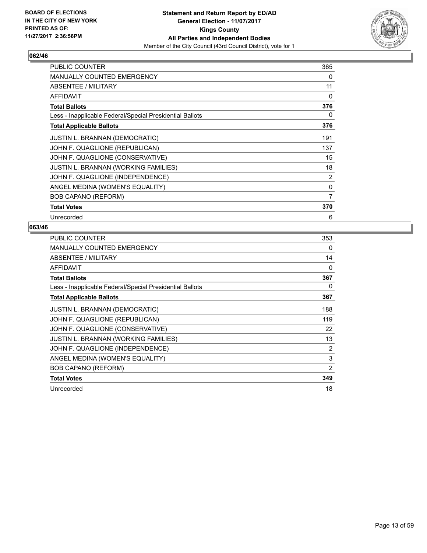

| PUBLIC COUNTER                                           | 365 |
|----------------------------------------------------------|-----|
| <b>MANUALLY COUNTED EMERGENCY</b>                        | 0   |
| ABSENTEE / MILITARY                                      | 11  |
| <b>AFFIDAVIT</b>                                         | 0   |
| <b>Total Ballots</b>                                     | 376 |
| Less - Inapplicable Federal/Special Presidential Ballots | 0   |
| <b>Total Applicable Ballots</b>                          | 376 |
| <b>JUSTIN L. BRANNAN (DEMOCRATIC)</b>                    | 191 |
| JOHN F. QUAGLIONE (REPUBLICAN)                           | 137 |
| JOHN F. QUAGLIONE (CONSERVATIVE)                         | 15  |
| <b>JUSTIN L. BRANNAN (WORKING FAMILIES)</b>              | 18  |
| JOHN F. QUAGLIONE (INDEPENDENCE)                         | 2   |
| ANGEL MEDINA (WOMEN'S EQUALITY)                          | 0   |
| <b>BOB CAPANO (REFORM)</b>                               | 7   |
| <b>Total Votes</b>                                       | 370 |
| Unrecorded                                               | 6   |

| <b>PUBLIC COUNTER</b>                                    | 353            |
|----------------------------------------------------------|----------------|
| <b>MANUALLY COUNTED EMERGENCY</b>                        | 0              |
| ABSENTEE / MILITARY                                      | 14             |
| AFFIDAVIT                                                | 0              |
| <b>Total Ballots</b>                                     | 367            |
| Less - Inapplicable Federal/Special Presidential Ballots | 0              |
| <b>Total Applicable Ballots</b>                          | 367            |
| <b>JUSTIN L. BRANNAN (DEMOCRATIC)</b>                    | 188            |
| JOHN F. QUAGLIONE (REPUBLICAN)                           | 119            |
| JOHN F. QUAGLIONE (CONSERVATIVE)                         | 22             |
| <b>JUSTIN L. BRANNAN (WORKING FAMILIES)</b>              | 13             |
| JOHN F. QUAGLIONE (INDEPENDENCE)                         | $\overline{2}$ |
| ANGEL MEDINA (WOMEN'S EQUALITY)                          | 3              |
| <b>BOB CAPANO (REFORM)</b>                               | 2              |
| <b>Total Votes</b>                                       | 349            |
| Unrecorded                                               | 18             |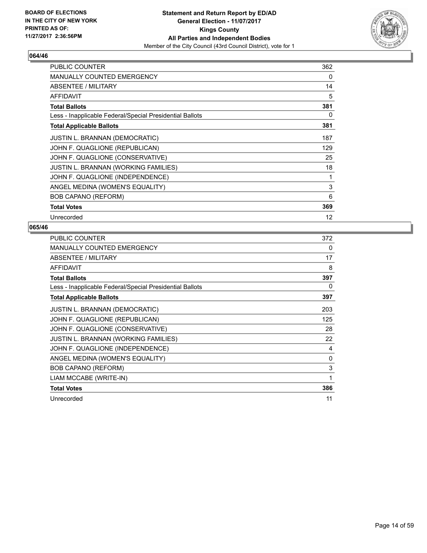

| <b>PUBLIC COUNTER</b>                                    | 362 |
|----------------------------------------------------------|-----|
| <b>MANUALLY COUNTED EMERGENCY</b>                        | 0   |
| ABSENTEE / MILITARY                                      | 14  |
| <b>AFFIDAVIT</b>                                         | 5   |
| <b>Total Ballots</b>                                     | 381 |
| Less - Inapplicable Federal/Special Presidential Ballots | 0   |
| <b>Total Applicable Ballots</b>                          | 381 |
| <b>JUSTIN L. BRANNAN (DEMOCRATIC)</b>                    | 187 |
| JOHN F. QUAGLIONE (REPUBLICAN)                           | 129 |
| JOHN F. QUAGLIONE (CONSERVATIVE)                         | 25  |
| <b>JUSTIN L. BRANNAN (WORKING FAMILIES)</b>              | 18  |
| JOHN F. QUAGLIONE (INDEPENDENCE)                         | 1   |
| ANGEL MEDINA (WOMEN'S EQUALITY)                          | 3   |
| <b>BOB CAPANO (REFORM)</b>                               | 6   |
| <b>Total Votes</b>                                       | 369 |
| Unrecorded                                               | 12  |

| <b>PUBLIC COUNTER</b>                                    | 372 |
|----------------------------------------------------------|-----|
| <b>MANUALLY COUNTED EMERGENCY</b>                        | 0   |
| ABSENTEE / MILITARY                                      | 17  |
| <b>AFFIDAVIT</b>                                         | 8   |
| <b>Total Ballots</b>                                     | 397 |
| Less - Inapplicable Federal/Special Presidential Ballots | 0   |
| <b>Total Applicable Ballots</b>                          | 397 |
| <b>JUSTIN L. BRANNAN (DEMOCRATIC)</b>                    | 203 |
| JOHN F. QUAGLIONE (REPUBLICAN)                           | 125 |
| JOHN F. QUAGLIONE (CONSERVATIVE)                         | 28  |
| <b>JUSTIN L. BRANNAN (WORKING FAMILIES)</b>              | 22  |
| JOHN F. QUAGLIONE (INDEPENDENCE)                         | 4   |
| ANGEL MEDINA (WOMEN'S EQUALITY)                          | 0   |
| <b>BOB CAPANO (REFORM)</b>                               | 3   |
| LIAM MCCABE (WRITE-IN)                                   | 1   |
| <b>Total Votes</b>                                       | 386 |
| Unrecorded                                               | 11  |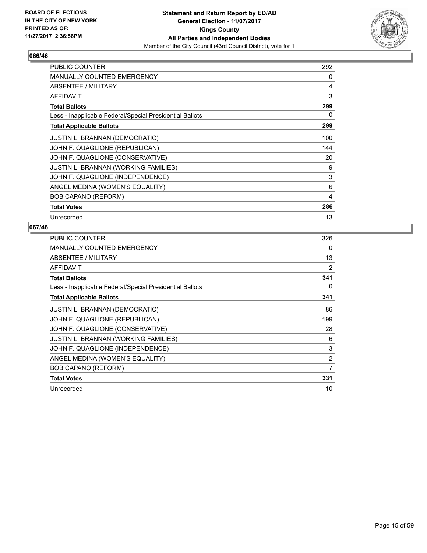

| <b>PUBLIC COUNTER</b>                                    | 292 |
|----------------------------------------------------------|-----|
| <b>MANUALLY COUNTED EMERGENCY</b>                        | 0   |
| ABSENTEE / MILITARY                                      | 4   |
| <b>AFFIDAVIT</b>                                         | 3   |
| <b>Total Ballots</b>                                     | 299 |
| Less - Inapplicable Federal/Special Presidential Ballots | 0   |
| <b>Total Applicable Ballots</b>                          | 299 |
| <b>JUSTIN L. BRANNAN (DEMOCRATIC)</b>                    | 100 |
| JOHN F. QUAGLIONE (REPUBLICAN)                           | 144 |
| JOHN F. QUAGLIONE (CONSERVATIVE)                         | 20  |
| <b>JUSTIN L. BRANNAN (WORKING FAMILIES)</b>              | 9   |
| JOHN F. QUAGLIONE (INDEPENDENCE)                         | 3   |
| ANGEL MEDINA (WOMEN'S EQUALITY)                          | 6   |
| <b>BOB CAPANO (REFORM)</b>                               | 4   |
| <b>Total Votes</b>                                       | 286 |
| Unrecorded                                               | 13  |

| <b>PUBLIC COUNTER</b>                                    | 326            |
|----------------------------------------------------------|----------------|
| <b>MANUALLY COUNTED EMERGENCY</b>                        | 0              |
| ABSENTEE / MILITARY                                      | 13             |
| <b>AFFIDAVIT</b>                                         | 2              |
| <b>Total Ballots</b>                                     | 341            |
| Less - Inapplicable Federal/Special Presidential Ballots | 0              |
| <b>Total Applicable Ballots</b>                          | 341            |
| <b>JUSTIN L. BRANNAN (DEMOCRATIC)</b>                    | 86             |
| JOHN F. QUAGLIONE (REPUBLICAN)                           | 199            |
| JOHN F. QUAGLIONE (CONSERVATIVE)                         | 28             |
| <b>JUSTIN L. BRANNAN (WORKING FAMILIES)</b>              | 6              |
| JOHN F. QUAGLIONE (INDEPENDENCE)                         | 3              |
| ANGEL MEDINA (WOMEN'S EQUALITY)                          | $\overline{2}$ |
| <b>BOB CAPANO (REFORM)</b>                               | 7              |
| <b>Total Votes</b>                                       | 331            |
| Unrecorded                                               | 10             |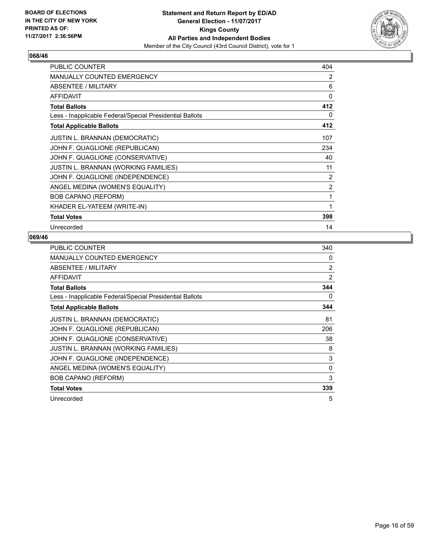

| <b>PUBLIC COUNTER</b>                                    | 404      |
|----------------------------------------------------------|----------|
| <b>MANUALLY COUNTED EMERGENCY</b>                        | 2        |
| <b>ABSENTEE / MILITARY</b>                               | 6        |
| <b>AFFIDAVIT</b>                                         | $\Omega$ |
| <b>Total Ballots</b>                                     | 412      |
| Less - Inapplicable Federal/Special Presidential Ballots | 0        |
| <b>Total Applicable Ballots</b>                          | 412      |
| <b>JUSTIN L. BRANNAN (DEMOCRATIC)</b>                    | 107      |
| JOHN F. QUAGLIONE (REPUBLICAN)                           | 234      |
| JOHN F. QUAGLIONE (CONSERVATIVE)                         | 40       |
| JUSTIN L. BRANNAN (WORKING FAMILIES)                     | 11       |
| JOHN F. QUAGLIONE (INDEPENDENCE)                         | 2        |
| ANGEL MEDINA (WOMEN'S EQUALITY)                          | 2        |
| <b>BOB CAPANO (REFORM)</b>                               | 1        |
| KHADER EL-YATEEM (WRITE-IN)                              | 1        |
| <b>Total Votes</b>                                       | 398      |
| Unrecorded                                               | 14       |

| <b>PUBLIC COUNTER</b>                                    | 340 |
|----------------------------------------------------------|-----|
| <b>MANUALLY COUNTED EMERGENCY</b>                        | 0   |
| <b>ABSENTEE / MILITARY</b>                               | 2   |
| AFFIDAVIT                                                | 2   |
| <b>Total Ballots</b>                                     | 344 |
| Less - Inapplicable Federal/Special Presidential Ballots | 0   |
| <b>Total Applicable Ballots</b>                          | 344 |
| <b>JUSTIN L. BRANNAN (DEMOCRATIC)</b>                    | 81  |
| JOHN F. QUAGLIONE (REPUBLICAN)                           | 206 |
| JOHN F. QUAGLIONE (CONSERVATIVE)                         | 38  |
| JUSTIN L. BRANNAN (WORKING FAMILIES)                     | 8   |
| JOHN F. QUAGLIONE (INDEPENDENCE)                         | 3   |
| ANGEL MEDINA (WOMEN'S EQUALITY)                          | 0   |
| <b>BOB CAPANO (REFORM)</b>                               | 3   |
| <b>Total Votes</b>                                       | 339 |
| Unrecorded                                               | 5   |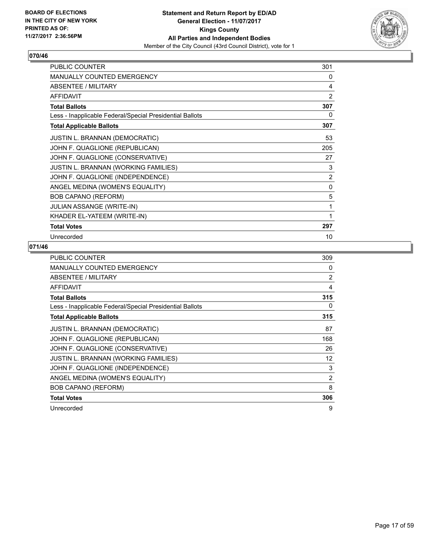

| <b>PUBLIC COUNTER</b>                                    | 301            |
|----------------------------------------------------------|----------------|
| <b>MANUALLY COUNTED EMERGENCY</b>                        | 0              |
| ABSENTEE / MILITARY                                      | 4              |
| <b>AFFIDAVIT</b>                                         | $\overline{2}$ |
| <b>Total Ballots</b>                                     | 307            |
| Less - Inapplicable Federal/Special Presidential Ballots | 0              |
| <b>Total Applicable Ballots</b>                          | 307            |
| <b>JUSTIN L. BRANNAN (DEMOCRATIC)</b>                    | 53             |
| JOHN F. QUAGLIONE (REPUBLICAN)                           | 205            |
| JOHN F. QUAGLIONE (CONSERVATIVE)                         | 27             |
| JUSTIN L. BRANNAN (WORKING FAMILIES)                     | 3              |
| JOHN F. QUAGLIONE (INDEPENDENCE)                         | $\overline{2}$ |
| ANGEL MEDINA (WOMEN'S EQUALITY)                          | $\Omega$       |
| <b>BOB CAPANO (REFORM)</b>                               | 5              |
| <b>JULIAN ASSANGE (WRITE-IN)</b>                         | 1              |
| KHADER EL-YATEEM (WRITE-IN)                              | 1              |
| <b>Total Votes</b>                                       | 297            |
| Unrecorded                                               | 10             |

| <b>PUBLIC COUNTER</b>                                    | 309            |
|----------------------------------------------------------|----------------|
| <b>MANUALLY COUNTED EMERGENCY</b>                        | 0              |
| ABSENTEE / MILITARY                                      | $\overline{2}$ |
| <b>AFFIDAVIT</b>                                         | 4              |
| <b>Total Ballots</b>                                     | 315            |
| Less - Inapplicable Federal/Special Presidential Ballots | 0              |
| <b>Total Applicable Ballots</b>                          | 315            |
| <b>JUSTIN L. BRANNAN (DEMOCRATIC)</b>                    | 87             |
| JOHN F. QUAGLIONE (REPUBLICAN)                           | 168            |
| JOHN F. QUAGLIONE (CONSERVATIVE)                         | 26             |
| <b>JUSTIN L. BRANNAN (WORKING FAMILIES)</b>              | 12             |
| JOHN F. QUAGLIONE (INDEPENDENCE)                         | 3              |
| ANGEL MEDINA (WOMEN'S EQUALITY)                          | $\overline{2}$ |
| <b>BOB CAPANO (REFORM)</b>                               | 8              |
| <b>Total Votes</b>                                       | 306            |
| Unrecorded                                               | 9              |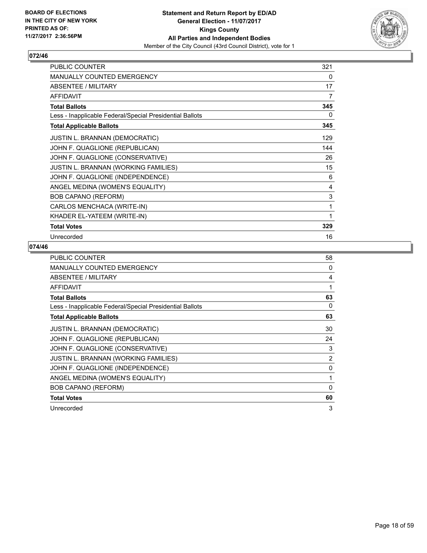

| <b>PUBLIC COUNTER</b>                                    | 321 |
|----------------------------------------------------------|-----|
| MANUALLY COUNTED EMERGENCY                               | 0   |
| ABSENTEE / MILITARY                                      | 17  |
| <b>AFFIDAVIT</b>                                         | 7   |
| <b>Total Ballots</b>                                     | 345 |
| Less - Inapplicable Federal/Special Presidential Ballots | 0   |
| <b>Total Applicable Ballots</b>                          | 345 |
| <b>JUSTIN L. BRANNAN (DEMOCRATIC)</b>                    | 129 |
| JOHN F. QUAGLIONE (REPUBLICAN)                           | 144 |
| JOHN F. QUAGLIONE (CONSERVATIVE)                         | 26  |
| JUSTIN L. BRANNAN (WORKING FAMILIES)                     | 15  |
| JOHN F. QUAGLIONE (INDEPENDENCE)                         | 6   |
| ANGEL MEDINA (WOMEN'S EQUALITY)                          | 4   |
| <b>BOB CAPANO (REFORM)</b>                               | 3   |
| CARLOS MENCHACA (WRITE-IN)                               | 1   |
| KHADER EL-YATEEM (WRITE-IN)                              | 1   |
| <b>Total Votes</b>                                       | 329 |
| Unrecorded                                               | 16  |

| <b>PUBLIC COUNTER</b>                                    | 58 |
|----------------------------------------------------------|----|
| MANUALLY COUNTED EMERGENCY                               | 0  |
| ABSENTEE / MILITARY                                      | 4  |
| AFFIDAVIT                                                | 1  |
| <b>Total Ballots</b>                                     | 63 |
| Less - Inapplicable Federal/Special Presidential Ballots | 0  |
| <b>Total Applicable Ballots</b>                          | 63 |
| <b>JUSTIN L. BRANNAN (DEMOCRATIC)</b>                    | 30 |
| JOHN F. QUAGLIONE (REPUBLICAN)                           | 24 |
| JOHN F. QUAGLIONE (CONSERVATIVE)                         | 3  |
| JUSTIN L. BRANNAN (WORKING FAMILIES)                     | 2  |
| JOHN F. QUAGLIONE (INDEPENDENCE)                         | 0  |
| ANGEL MEDINA (WOMEN'S EQUALITY)                          | 1  |
| <b>BOB CAPANO (REFORM)</b>                               | 0  |
| <b>Total Votes</b>                                       | 60 |
| Unrecorded                                               | 3  |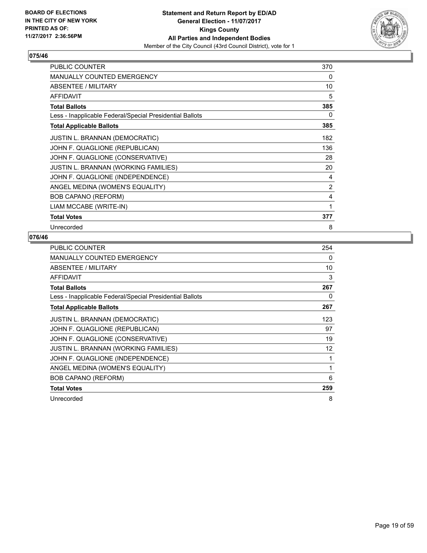

| <b>PUBLIC COUNTER</b>                                    | 370 |
|----------------------------------------------------------|-----|
| <b>MANUALLY COUNTED EMERGENCY</b>                        | 0   |
| <b>ABSENTEE / MILITARY</b>                               | 10  |
| <b>AFFIDAVIT</b>                                         | 5   |
| <b>Total Ballots</b>                                     | 385 |
| Less - Inapplicable Federal/Special Presidential Ballots | 0   |
| <b>Total Applicable Ballots</b>                          | 385 |
| <b>JUSTIN L. BRANNAN (DEMOCRATIC)</b>                    | 182 |
| JOHN F. QUAGLIONE (REPUBLICAN)                           | 136 |
| JOHN F. QUAGLIONE (CONSERVATIVE)                         | 28  |
| JUSTIN L. BRANNAN (WORKING FAMILIES)                     | 20  |
| JOHN F. QUAGLIONE (INDEPENDENCE)                         | 4   |
| ANGEL MEDINA (WOMEN'S EQUALITY)                          | 2   |
| <b>BOB CAPANO (REFORM)</b>                               | 4   |
| LIAM MCCABE (WRITE-IN)                                   | 1   |
| <b>Total Votes</b>                                       | 377 |
| Unrecorded                                               | 8   |

| <b>PUBLIC COUNTER</b>                                    | 254 |
|----------------------------------------------------------|-----|
| <b>MANUALLY COUNTED EMERGENCY</b>                        | 0   |
| ABSENTEE / MILITARY                                      | 10  |
| AFFIDAVIT                                                | 3   |
| <b>Total Ballots</b>                                     | 267 |
| Less - Inapplicable Federal/Special Presidential Ballots | 0   |
| <b>Total Applicable Ballots</b>                          | 267 |
| <b>JUSTIN L. BRANNAN (DEMOCRATIC)</b>                    | 123 |
| JOHN F. QUAGLIONE (REPUBLICAN)                           | 97  |
| JOHN F. QUAGLIONE (CONSERVATIVE)                         | 19  |
| JUSTIN L. BRANNAN (WORKING FAMILIES)                     | 12  |
| JOHN F. QUAGLIONE (INDEPENDENCE)                         | 1   |
| ANGEL MEDINA (WOMEN'S EQUALITY)                          | 1   |
| <b>BOB CAPANO (REFORM)</b>                               | 6   |
| <b>Total Votes</b>                                       | 259 |
| Unrecorded                                               | 8   |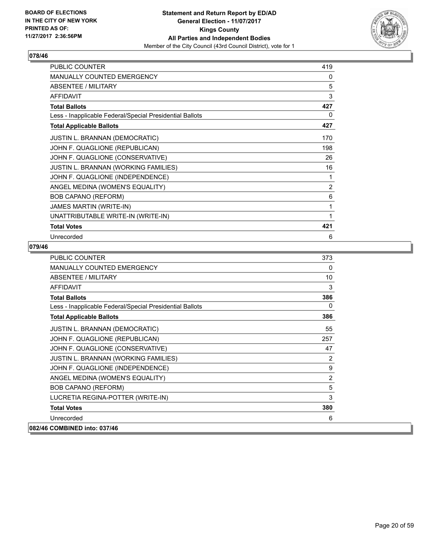

| <b>PUBLIC COUNTER</b>                                    | 419            |
|----------------------------------------------------------|----------------|
| <b>MANUALLY COUNTED EMERGENCY</b>                        | 0              |
| ABSENTEE / MILITARY                                      | 5              |
| <b>AFFIDAVIT</b>                                         | 3              |
| <b>Total Ballots</b>                                     | 427            |
| Less - Inapplicable Federal/Special Presidential Ballots | 0              |
| <b>Total Applicable Ballots</b>                          | 427            |
| <b>JUSTIN L. BRANNAN (DEMOCRATIC)</b>                    | 170            |
| JOHN F. QUAGLIONE (REPUBLICAN)                           | 198            |
| JOHN F. QUAGLIONE (CONSERVATIVE)                         | 26             |
| <b>JUSTIN L. BRANNAN (WORKING FAMILIES)</b>              | 16             |
| JOHN F. QUAGLIONE (INDEPENDENCE)                         |                |
| ANGEL MEDINA (WOMEN'S EQUALITY)                          | $\overline{2}$ |
| <b>BOB CAPANO (REFORM)</b>                               | 6              |
| JAMES MARTIN (WRITE-IN)                                  | 1              |
| UNATTRIBUTABLE WRITE-IN (WRITE-IN)                       | 1              |
| <b>Total Votes</b>                                       | 421            |
| Unrecorded                                               | 6              |

| <b>PUBLIC COUNTER</b>                                    | 373            |
|----------------------------------------------------------|----------------|
| <b>MANUALLY COUNTED EMERGENCY</b>                        | 0              |
| <b>ABSENTEE / MILITARY</b>                               | 10             |
| <b>AFFIDAVIT</b>                                         | 3              |
| <b>Total Ballots</b>                                     | 386            |
| Less - Inapplicable Federal/Special Presidential Ballots | 0              |
| <b>Total Applicable Ballots</b>                          | 386            |
| <b>JUSTIN L. BRANNAN (DEMOCRATIC)</b>                    | 55             |
| JOHN F. QUAGLIONE (REPUBLICAN)                           | 257            |
| JOHN F. QUAGLIONE (CONSERVATIVE)                         | 47             |
| JUSTIN L. BRANNAN (WORKING FAMILIES)                     | 2              |
| JOHN F. QUAGLIONE (INDEPENDENCE)                         | 9              |
| ANGEL MEDINA (WOMEN'S EQUALITY)                          | $\overline{2}$ |
| <b>BOB CAPANO (REFORM)</b>                               | 5              |
| LUCRETIA REGINA-POTTER (WRITE-IN)                        | 3              |
| <b>Total Votes</b>                                       | 380            |
| Unrecorded                                               | 6              |
| 082/46 COMBINED into: 037/46                             |                |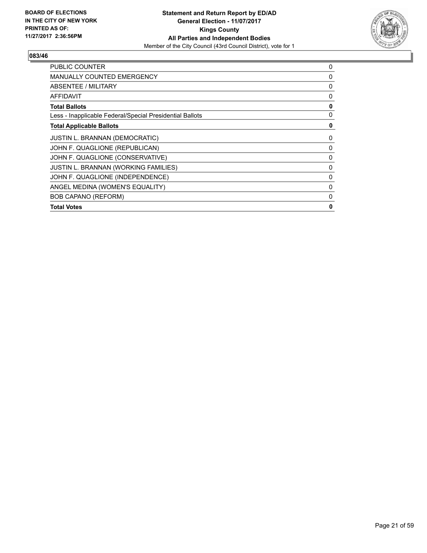

| <b>PUBLIC COUNTER</b>                                    | 0 |
|----------------------------------------------------------|---|
| <b>MANUALLY COUNTED EMERGENCY</b>                        | 0 |
| ABSENTEE / MILITARY                                      | 0 |
| AFFIDAVIT                                                | 0 |
| <b>Total Ballots</b>                                     | 0 |
| Less - Inapplicable Federal/Special Presidential Ballots | 0 |
| <b>Total Applicable Ballots</b>                          | 0 |
| JUSTIN L. BRANNAN (DEMOCRATIC)                           | 0 |
| JOHN F. QUAGLIONE (REPUBLICAN)                           | 0 |
| JOHN F. QUAGLIONE (CONSERVATIVE)                         | 0 |
| <b>JUSTIN L. BRANNAN (WORKING FAMILIES)</b>              | 0 |
| JOHN F. QUAGLIONE (INDEPENDENCE)                         | 0 |
| ANGEL MEDINA (WOMEN'S EQUALITY)                          | 0 |
| <b>BOB CAPANO (REFORM)</b>                               | 0 |
| <b>Total Votes</b>                                       | 0 |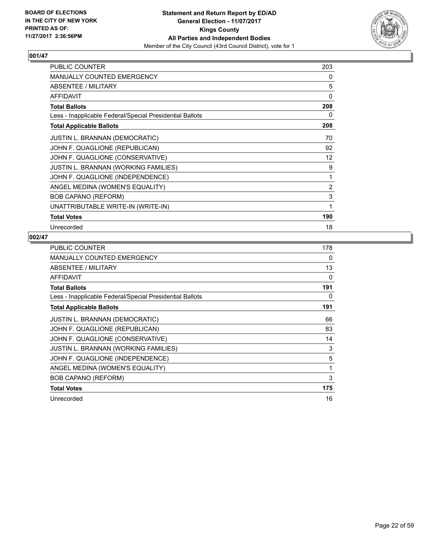

| <b>PUBLIC COUNTER</b>                                    | 203 |
|----------------------------------------------------------|-----|
| <b>MANUALLY COUNTED EMERGENCY</b>                        | 0   |
| <b>ABSENTEE / MILITARY</b>                               | 5   |
| <b>AFFIDAVIT</b>                                         | 0   |
| <b>Total Ballots</b>                                     | 208 |
| Less - Inapplicable Federal/Special Presidential Ballots | 0   |
| <b>Total Applicable Ballots</b>                          | 208 |
| <b>JUSTIN L. BRANNAN (DEMOCRATIC)</b>                    | 70  |
| JOHN F. QUAGLIONE (REPUBLICAN)                           | 92  |
| JOHN F. QUAGLIONE (CONSERVATIVE)                         | 12  |
| JUSTIN L. BRANNAN (WORKING FAMILIES)                     | 9   |
| JOHN F. QUAGLIONE (INDEPENDENCE)                         | 1   |
| ANGEL MEDINA (WOMEN'S EQUALITY)                          | 2   |
| <b>BOB CAPANO (REFORM)</b>                               | 3   |
| UNATTRIBUTABLE WRITE-IN (WRITE-IN)                       | 1   |
| <b>Total Votes</b>                                       | 190 |
| Unrecorded                                               | 18  |

| <b>PUBLIC COUNTER</b>                                    | 178 |
|----------------------------------------------------------|-----|
| <b>MANUALLY COUNTED EMERGENCY</b>                        | 0   |
| ABSENTEE / MILITARY                                      | 13  |
| <b>AFFIDAVIT</b>                                         | 0   |
| <b>Total Ballots</b>                                     | 191 |
| Less - Inapplicable Federal/Special Presidential Ballots | 0   |
| <b>Total Applicable Ballots</b>                          | 191 |
| <b>JUSTIN L. BRANNAN (DEMOCRATIC)</b>                    | 66  |
| JOHN F. QUAGLIONE (REPUBLICAN)                           | 83  |
| JOHN F. QUAGLIONE (CONSERVATIVE)                         | 14  |
| JUSTIN L. BRANNAN (WORKING FAMILIES)                     | 3   |
| JOHN F. QUAGLIONE (INDEPENDENCE)                         | 5   |
| ANGEL MEDINA (WOMEN'S EQUALITY)                          | 1   |
| <b>BOB CAPANO (REFORM)</b>                               | 3   |
| <b>Total Votes</b>                                       | 175 |
| Unrecorded                                               | 16  |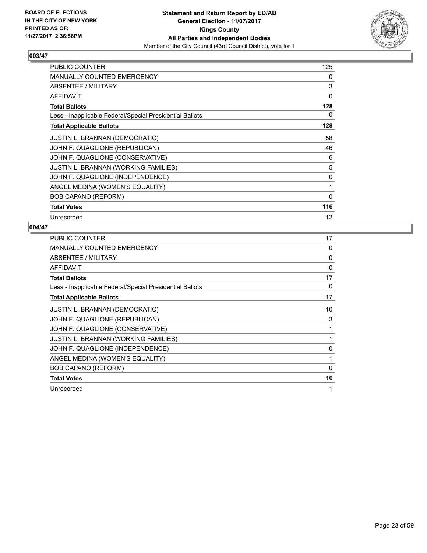

| <b>PUBLIC COUNTER</b>                                    | 125      |
|----------------------------------------------------------|----------|
| <b>MANUALLY COUNTED EMERGENCY</b>                        | 0        |
| ABSENTEE / MILITARY                                      | 3        |
| AFFIDAVIT                                                | $\Omega$ |
| <b>Total Ballots</b>                                     | 128      |
| Less - Inapplicable Federal/Special Presidential Ballots | 0        |
| <b>Total Applicable Ballots</b>                          | 128      |
| <b>JUSTIN L. BRANNAN (DEMOCRATIC)</b>                    | 58       |
| JOHN F. QUAGLIONE (REPUBLICAN)                           | 46       |
| JOHN F. QUAGLIONE (CONSERVATIVE)                         | 6        |
| JUSTIN L. BRANNAN (WORKING FAMILIES)                     | 5        |
| JOHN F. QUAGLIONE (INDEPENDENCE)                         | 0        |
| ANGEL MEDINA (WOMEN'S EQUALITY)                          | 1        |
| <b>BOB CAPANO (REFORM)</b>                               | 0        |
| <b>Total Votes</b>                                       | 116      |
| Unrecorded                                               | 12       |

| <b>PUBLIC COUNTER</b>                                    | 17       |
|----------------------------------------------------------|----------|
| <b>MANUALLY COUNTED EMERGENCY</b>                        | 0        |
| ABSENTEE / MILITARY                                      | 0        |
| <b>AFFIDAVIT</b>                                         | $\Omega$ |
| <b>Total Ballots</b>                                     | 17       |
| Less - Inapplicable Federal/Special Presidential Ballots | 0        |
| <b>Total Applicable Ballots</b>                          | 17       |
| <b>JUSTIN L. BRANNAN (DEMOCRATIC)</b>                    | 10       |
| JOHN F. QUAGLIONE (REPUBLICAN)                           | 3        |
| JOHN F. QUAGLIONE (CONSERVATIVE)                         | 1        |
| JUSTIN L. BRANNAN (WORKING FAMILIES)                     |          |
| JOHN F. QUAGLIONE (INDEPENDENCE)                         | 0        |
| ANGEL MEDINA (WOMEN'S EQUALITY)                          | 1        |
| <b>BOB CAPANO (REFORM)</b>                               | 0        |
| <b>Total Votes</b>                                       | 16       |
| Unrecorded                                               | 1        |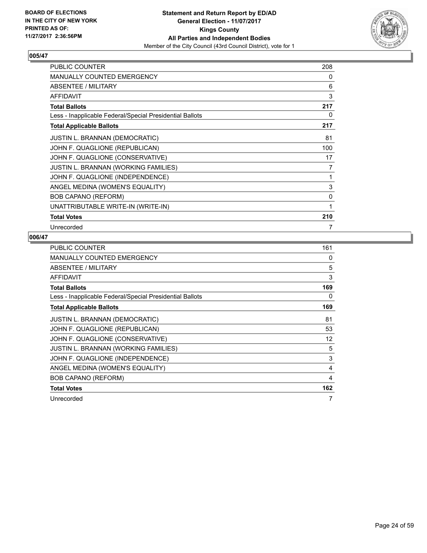

| <b>PUBLIC COUNTER</b>                                    | 208            |
|----------------------------------------------------------|----------------|
| <b>MANUALLY COUNTED EMERGENCY</b>                        | 0              |
| <b>ABSENTEE / MILITARY</b>                               | 6              |
| <b>AFFIDAVIT</b>                                         | 3              |
| <b>Total Ballots</b>                                     | 217            |
| Less - Inapplicable Federal/Special Presidential Ballots | 0              |
| <b>Total Applicable Ballots</b>                          | 217            |
| <b>JUSTIN L. BRANNAN (DEMOCRATIC)</b>                    | 81             |
| JOHN F. QUAGLIONE (REPUBLICAN)                           | 100            |
| JOHN F. QUAGLIONE (CONSERVATIVE)                         | 17             |
| <b>JUSTIN L. BRANNAN (WORKING FAMILIES)</b>              | $\overline{7}$ |
| JOHN F. QUAGLIONE (INDEPENDENCE)                         | 1              |
| ANGEL MEDINA (WOMEN'S EQUALITY)                          | 3              |
| <b>BOB CAPANO (REFORM)</b>                               | 0              |
| UNATTRIBUTABLE WRITE-IN (WRITE-IN)                       | 1              |
| <b>Total Votes</b>                                       | 210            |
| Unrecorded                                               | 7              |

| <b>PUBLIC COUNTER</b>                                    | 161 |
|----------------------------------------------------------|-----|
| <b>MANUALLY COUNTED EMERGENCY</b>                        | 0   |
| <b>ABSENTEE / MILITARY</b>                               | 5   |
| AFFIDAVIT                                                | 3   |
| <b>Total Ballots</b>                                     | 169 |
| Less - Inapplicable Federal/Special Presidential Ballots | 0   |
| <b>Total Applicable Ballots</b>                          | 169 |
| <b>JUSTIN L. BRANNAN (DEMOCRATIC)</b>                    | 81  |
| JOHN F. QUAGLIONE (REPUBLICAN)                           | 53  |
| JOHN F. QUAGLIONE (CONSERVATIVE)                         | 12  |
| JUSTIN L. BRANNAN (WORKING FAMILIES)                     | 5   |
| JOHN F. QUAGLIONE (INDEPENDENCE)                         | 3   |
| ANGEL MEDINA (WOMEN'S EQUALITY)                          | 4   |
| <b>BOB CAPANO (REFORM)</b>                               | 4   |
| <b>Total Votes</b>                                       | 162 |
| Unrecorded                                               | 7   |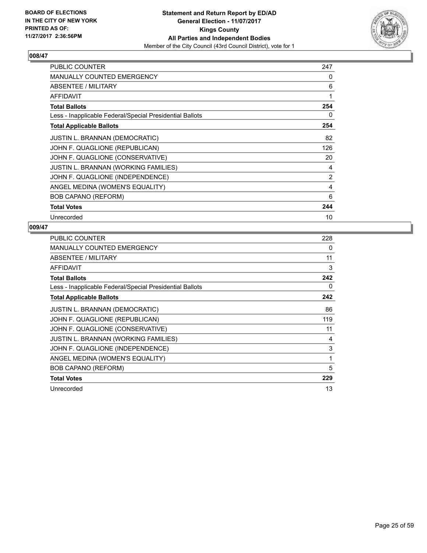

| <b>PUBLIC COUNTER</b>                                    | 247 |
|----------------------------------------------------------|-----|
| <b>MANUALLY COUNTED EMERGENCY</b>                        | 0   |
| ABSENTEE / MILITARY                                      | 6   |
| AFFIDAVIT                                                | 1   |
| <b>Total Ballots</b>                                     | 254 |
| Less - Inapplicable Federal/Special Presidential Ballots | 0   |
| <b>Total Applicable Ballots</b>                          | 254 |
| <b>JUSTIN L. BRANNAN (DEMOCRATIC)</b>                    | 82  |
| JOHN F. QUAGLIONE (REPUBLICAN)                           | 126 |
| JOHN F. QUAGLIONE (CONSERVATIVE)                         | 20  |
| JUSTIN L. BRANNAN (WORKING FAMILIES)                     | 4   |
| JOHN F. QUAGLIONE (INDEPENDENCE)                         | 2   |
| ANGEL MEDINA (WOMEN'S EQUALITY)                          | 4   |
| <b>BOB CAPANO (REFORM)</b>                               | 6   |
| <b>Total Votes</b>                                       | 244 |
| Unrecorded                                               | 10  |

| <b>PUBLIC COUNTER</b>                                    | 228 |
|----------------------------------------------------------|-----|
| <b>MANUALLY COUNTED EMERGENCY</b>                        | 0   |
| ABSENTEE / MILITARY                                      | 11  |
| <b>AFFIDAVIT</b>                                         | 3   |
| <b>Total Ballots</b>                                     | 242 |
| Less - Inapplicable Federal/Special Presidential Ballots | 0   |
| <b>Total Applicable Ballots</b>                          | 242 |
| <b>JUSTIN L. BRANNAN (DEMOCRATIC)</b>                    | 86  |
| JOHN F. QUAGLIONE (REPUBLICAN)                           | 119 |
| JOHN F. QUAGLIONE (CONSERVATIVE)                         | 11  |
| <b>JUSTIN L. BRANNAN (WORKING FAMILIES)</b>              | 4   |
| JOHN F. QUAGLIONE (INDEPENDENCE)                         | 3   |
| ANGEL MEDINA (WOMEN'S EQUALITY)                          | 1   |
| <b>BOB CAPANO (REFORM)</b>                               | 5   |
| <b>Total Votes</b>                                       | 229 |
| Unrecorded                                               | 13  |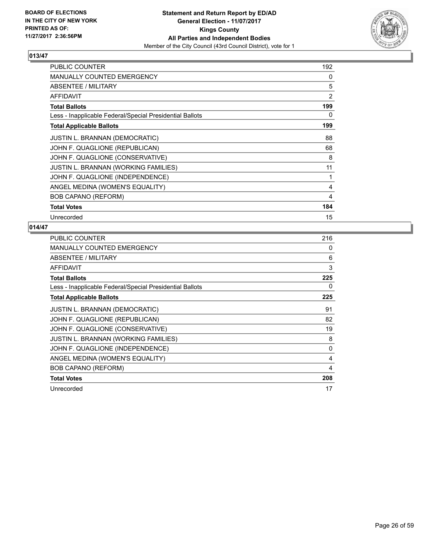

| <b>PUBLIC COUNTER</b>                                    | 192            |
|----------------------------------------------------------|----------------|
| MANUALLY COUNTED EMERGENCY                               | 0              |
| ABSENTEE / MILITARY                                      | 5              |
| <b>AFFIDAVIT</b>                                         | $\overline{2}$ |
| <b>Total Ballots</b>                                     | 199            |
| Less - Inapplicable Federal/Special Presidential Ballots | 0              |
| <b>Total Applicable Ballots</b>                          | 199            |
| <b>JUSTIN L. BRANNAN (DEMOCRATIC)</b>                    | 88             |
| JOHN F. QUAGLIONE (REPUBLICAN)                           | 68             |
| JOHN F. QUAGLIONE (CONSERVATIVE)                         | 8              |
| JUSTIN L. BRANNAN (WORKING FAMILIES)                     | 11             |
| JOHN F. QUAGLIONE (INDEPENDENCE)                         | 1              |
| ANGEL MEDINA (WOMEN'S EQUALITY)                          | 4              |
| <b>BOB CAPANO (REFORM)</b>                               | 4              |
| <b>Total Votes</b>                                       | 184            |
| Unrecorded                                               | 15             |

| <b>PUBLIC COUNTER</b>                                    | 216 |
|----------------------------------------------------------|-----|
| <b>MANUALLY COUNTED EMERGENCY</b>                        | 0   |
| ABSENTEE / MILITARY                                      | 6   |
| <b>AFFIDAVIT</b>                                         | 3   |
| <b>Total Ballots</b>                                     | 225 |
| Less - Inapplicable Federal/Special Presidential Ballots | 0   |
| <b>Total Applicable Ballots</b>                          | 225 |
| <b>JUSTIN L. BRANNAN (DEMOCRATIC)</b>                    | 91  |
| JOHN F. QUAGLIONE (REPUBLICAN)                           | 82  |
| JOHN F. QUAGLIONE (CONSERVATIVE)                         | 19  |
| JUSTIN L. BRANNAN (WORKING FAMILIES)                     | 8   |
| JOHN F. QUAGLIONE (INDEPENDENCE)                         | 0   |
| ANGEL MEDINA (WOMEN'S EQUALITY)                          | 4   |
| <b>BOB CAPANO (REFORM)</b>                               | 4   |
| <b>Total Votes</b>                                       | 208 |
| Unrecorded                                               | 17  |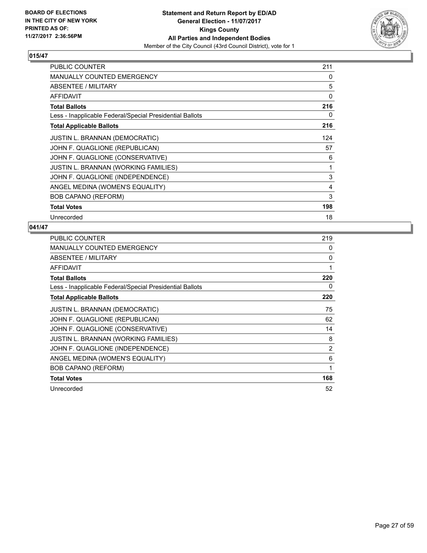

| <b>PUBLIC COUNTER</b>                                    | 211 |
|----------------------------------------------------------|-----|
| <b>MANUALLY COUNTED EMERGENCY</b>                        | 0   |
| ABSENTEE / MILITARY                                      | 5   |
| <b>AFFIDAVIT</b>                                         | 0   |
| <b>Total Ballots</b>                                     | 216 |
| Less - Inapplicable Federal/Special Presidential Ballots | 0   |
| <b>Total Applicable Ballots</b>                          | 216 |
| <b>JUSTIN L. BRANNAN (DEMOCRATIC)</b>                    | 124 |
| JOHN F. QUAGLIONE (REPUBLICAN)                           | 57  |
| JOHN F. QUAGLIONE (CONSERVATIVE)                         | 6   |
| JUSTIN L. BRANNAN (WORKING FAMILIES)                     | 1   |
| JOHN F. QUAGLIONE (INDEPENDENCE)                         | 3   |
| ANGEL MEDINA (WOMEN'S EQUALITY)                          | 4   |
| <b>BOB CAPANO (REFORM)</b>                               | 3   |
| <b>Total Votes</b>                                       | 198 |
| Unrecorded                                               | 18  |

| <b>PUBLIC COUNTER</b>                                    | 219            |
|----------------------------------------------------------|----------------|
| <b>MANUALLY COUNTED EMERGENCY</b>                        | 0              |
| ABSENTEE / MILITARY                                      | 0              |
| AFFIDAVIT                                                | 1              |
| <b>Total Ballots</b>                                     | 220            |
| Less - Inapplicable Federal/Special Presidential Ballots | 0              |
| <b>Total Applicable Ballots</b>                          | 220            |
| <b>JUSTIN L. BRANNAN (DEMOCRATIC)</b>                    | 75             |
| JOHN F. QUAGLIONE (REPUBLICAN)                           | 62             |
| JOHN F. QUAGLIONE (CONSERVATIVE)                         | 14             |
| <b>JUSTIN L. BRANNAN (WORKING FAMILIES)</b>              | 8              |
| JOHN F. QUAGLIONE (INDEPENDENCE)                         | $\overline{2}$ |
| ANGEL MEDINA (WOMEN'S EQUALITY)                          | 6              |
| <b>BOB CAPANO (REFORM)</b>                               | 1              |
| <b>Total Votes</b>                                       | 168            |
| Unrecorded                                               | 52             |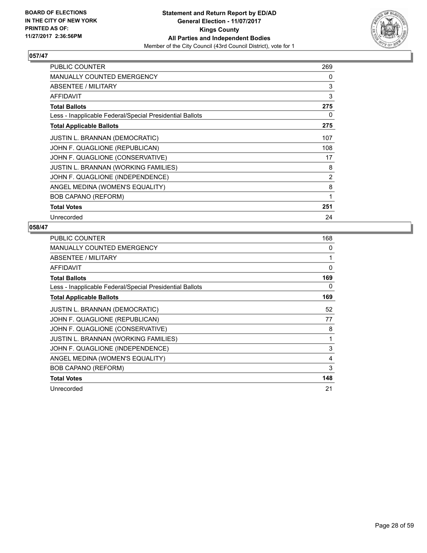

| <b>PUBLIC COUNTER</b>                                    | 269 |
|----------------------------------------------------------|-----|
| <b>MANUALLY COUNTED EMERGENCY</b>                        | 0   |
| ABSENTEE / MILITARY                                      | 3   |
| AFFIDAVIT                                                | 3   |
| <b>Total Ballots</b>                                     | 275 |
| Less - Inapplicable Federal/Special Presidential Ballots | 0   |
| <b>Total Applicable Ballots</b>                          | 275 |
| <b>JUSTIN L. BRANNAN (DEMOCRATIC)</b>                    | 107 |
| JOHN F. QUAGLIONE (REPUBLICAN)                           | 108 |
| JOHN F. QUAGLIONE (CONSERVATIVE)                         | 17  |
| JUSTIN L. BRANNAN (WORKING FAMILIES)                     | 8   |
| JOHN F. QUAGLIONE (INDEPENDENCE)                         | 2   |
| ANGEL MEDINA (WOMEN'S EQUALITY)                          | 8   |
| <b>BOB CAPANO (REFORM)</b>                               | 1   |
| <b>Total Votes</b>                                       | 251 |
| Unrecorded                                               | 24  |

| <b>PUBLIC COUNTER</b>                                    | 168 |
|----------------------------------------------------------|-----|
| <b>MANUALLY COUNTED EMERGENCY</b>                        | 0   |
| ABSENTEE / MILITARY                                      | 1   |
| <b>AFFIDAVIT</b>                                         | 0   |
| <b>Total Ballots</b>                                     | 169 |
| Less - Inapplicable Federal/Special Presidential Ballots | 0   |
| <b>Total Applicable Ballots</b>                          | 169 |
| <b>JUSTIN L. BRANNAN (DEMOCRATIC)</b>                    | 52  |
| JOHN F. QUAGLIONE (REPUBLICAN)                           | 77  |
| JOHN F. QUAGLIONE (CONSERVATIVE)                         | 8   |
| <b>JUSTIN L. BRANNAN (WORKING FAMILIES)</b>              | 1   |
| JOHN F. QUAGLIONE (INDEPENDENCE)                         | 3   |
| ANGEL MEDINA (WOMEN'S EQUALITY)                          | 4   |
| <b>BOB CAPANO (REFORM)</b>                               | 3   |
| <b>Total Votes</b>                                       | 148 |
| Unrecorded                                               | 21  |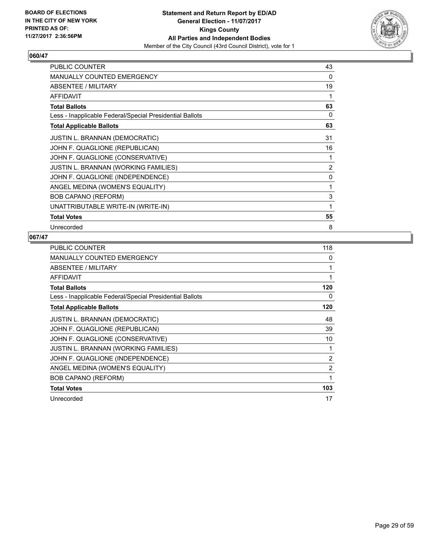

| <b>PUBLIC COUNTER</b>                                    | 43 |
|----------------------------------------------------------|----|
| <b>MANUALLY COUNTED EMERGENCY</b>                        | 0  |
| <b>ABSENTEE / MILITARY</b>                               | 19 |
| <b>AFFIDAVIT</b>                                         | 1  |
| <b>Total Ballots</b>                                     | 63 |
| Less - Inapplicable Federal/Special Presidential Ballots | 0  |
| <b>Total Applicable Ballots</b>                          | 63 |
| <b>JUSTIN L. BRANNAN (DEMOCRATIC)</b>                    | 31 |
| JOHN F. QUAGLIONE (REPUBLICAN)                           | 16 |
| JOHN F. QUAGLIONE (CONSERVATIVE)                         | 1  |
| JUSTIN L. BRANNAN (WORKING FAMILIES)                     | 2  |
| JOHN F. QUAGLIONE (INDEPENDENCE)                         | 0  |
| ANGEL MEDINA (WOMEN'S EQUALITY)                          | 1  |
| <b>BOB CAPANO (REFORM)</b>                               | 3  |
| UNATTRIBUTABLE WRITE-IN (WRITE-IN)                       | 1  |
| <b>Total Votes</b>                                       | 55 |
| Unrecorded                                               | 8  |

| <b>PUBLIC COUNTER</b>                                    | 118 |
|----------------------------------------------------------|-----|
| <b>MANUALLY COUNTED EMERGENCY</b>                        | 0   |
| <b>ABSENTEE / MILITARY</b>                               | 1   |
| AFFIDAVIT                                                | 1   |
| <b>Total Ballots</b>                                     | 120 |
| Less - Inapplicable Federal/Special Presidential Ballots | 0   |
| <b>Total Applicable Ballots</b>                          | 120 |
| <b>JUSTIN L. BRANNAN (DEMOCRATIC)</b>                    | 48  |
| JOHN F. QUAGLIONE (REPUBLICAN)                           | 39  |
| JOHN F. QUAGLIONE (CONSERVATIVE)                         | 10  |
| JUSTIN L. BRANNAN (WORKING FAMILIES)                     | 1   |
| JOHN F. QUAGLIONE (INDEPENDENCE)                         | 2   |
| ANGEL MEDINA (WOMEN'S EQUALITY)                          | 2   |
| <b>BOB CAPANO (REFORM)</b>                               | 1   |
| <b>Total Votes</b>                                       | 103 |
| Unrecorded                                               | 17  |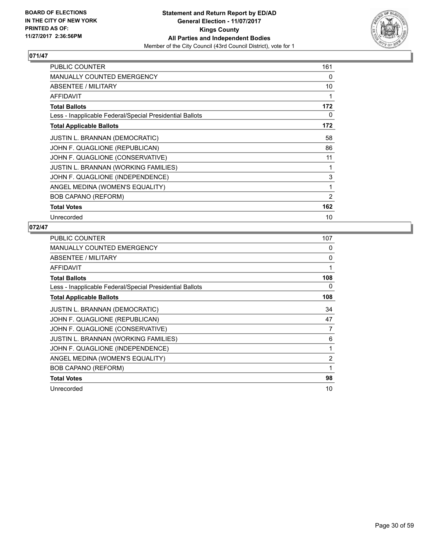

| <b>PUBLIC COUNTER</b>                                    | 161 |
|----------------------------------------------------------|-----|
| <b>MANUALLY COUNTED EMERGENCY</b>                        | 0   |
| ABSENTEE / MILITARY                                      | 10  |
| <b>AFFIDAVIT</b>                                         | 1   |
| <b>Total Ballots</b>                                     | 172 |
| Less - Inapplicable Federal/Special Presidential Ballots | 0   |
| <b>Total Applicable Ballots</b>                          | 172 |
| <b>JUSTIN L. BRANNAN (DEMOCRATIC)</b>                    | 58  |
| JOHN F. QUAGLIONE (REPUBLICAN)                           | 86  |
| JOHN F. QUAGLIONE (CONSERVATIVE)                         | 11  |
| JUSTIN L. BRANNAN (WORKING FAMILIES)                     | 1   |
| JOHN F. QUAGLIONE (INDEPENDENCE)                         | 3   |
| ANGEL MEDINA (WOMEN'S EQUALITY)                          | 1   |
| <b>BOB CAPANO (REFORM)</b>                               | 2   |
| <b>Total Votes</b>                                       | 162 |
| Unrecorded                                               | 10  |

| <b>PUBLIC COUNTER</b>                                    | 107 |
|----------------------------------------------------------|-----|
| <b>MANUALLY COUNTED EMERGENCY</b>                        | 0   |
| ABSENTEE / MILITARY                                      | 0   |
| <b>AFFIDAVIT</b>                                         | 1   |
| <b>Total Ballots</b>                                     | 108 |
| Less - Inapplicable Federal/Special Presidential Ballots | 0   |
| <b>Total Applicable Ballots</b>                          | 108 |
| <b>JUSTIN L. BRANNAN (DEMOCRATIC)</b>                    | 34  |
| JOHN F. QUAGLIONE (REPUBLICAN)                           | 47  |
| JOHN F. QUAGLIONE (CONSERVATIVE)                         | 7   |
| JUSTIN L. BRANNAN (WORKING FAMILIES)                     | 6   |
| JOHN F. QUAGLIONE (INDEPENDENCE)                         | 1   |
| ANGEL MEDINA (WOMEN'S EQUALITY)                          | 2   |
| <b>BOB CAPANO (REFORM)</b>                               | 1   |
| <b>Total Votes</b>                                       | 98  |
| Unrecorded                                               | 10  |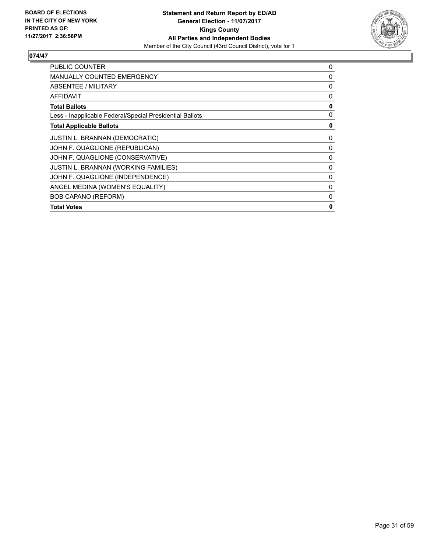

| <b>PUBLIC COUNTER</b>                                    | 0 |
|----------------------------------------------------------|---|
| <b>MANUALLY COUNTED EMERGENCY</b>                        | 0 |
| ABSENTEE / MILITARY                                      | 0 |
| <b>AFFIDAVIT</b>                                         | 0 |
| <b>Total Ballots</b>                                     | 0 |
| Less - Inapplicable Federal/Special Presidential Ballots | 0 |
| <b>Total Applicable Ballots</b>                          | 0 |
| JUSTIN L. BRANNAN (DEMOCRATIC)                           | 0 |
| JOHN F. QUAGLIONE (REPUBLICAN)                           | 0 |
| JOHN F. QUAGLIONE (CONSERVATIVE)                         | 0 |
| <b>JUSTIN L. BRANNAN (WORKING FAMILIES)</b>              | 0 |
| JOHN F. QUAGLIONE (INDEPENDENCE)                         | 0 |
| ANGEL MEDINA (WOMEN'S EQUALITY)                          | 0 |
| <b>BOB CAPANO (REFORM)</b>                               | 0 |
| <b>Total Votes</b>                                       | 0 |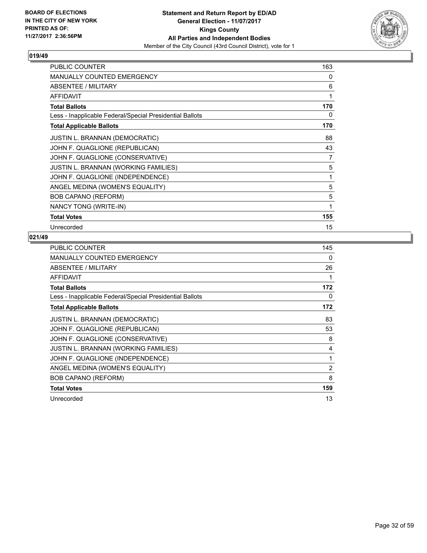

| <b>PUBLIC COUNTER</b>                                    | 163            |
|----------------------------------------------------------|----------------|
| <b>MANUALLY COUNTED EMERGENCY</b>                        | 0              |
| <b>ABSENTEE / MILITARY</b>                               | 6              |
| AFFIDAVIT                                                | 1              |
| <b>Total Ballots</b>                                     | 170            |
| Less - Inapplicable Federal/Special Presidential Ballots | 0              |
| <b>Total Applicable Ballots</b>                          | 170            |
| <b>JUSTIN L. BRANNAN (DEMOCRATIC)</b>                    | 88             |
| JOHN F. QUAGLIONE (REPUBLICAN)                           | 43             |
| JOHN F. QUAGLIONE (CONSERVATIVE)                         | $\overline{7}$ |
| JUSTIN L. BRANNAN (WORKING FAMILIES)                     | 5              |
| JOHN F. QUAGLIONE (INDEPENDENCE)                         | 1              |
| ANGEL MEDINA (WOMEN'S EQUALITY)                          | 5              |
| <b>BOB CAPANO (REFORM)</b>                               | 5              |
| NANCY TONG (WRITE-IN)                                    | 1              |
| <b>Total Votes</b>                                       | 155            |
| Unrecorded                                               | 15             |

| <b>PUBLIC COUNTER</b>                                    | 145 |
|----------------------------------------------------------|-----|
| <b>MANUALLY COUNTED EMERGENCY</b>                        | 0   |
| ABSENTEE / MILITARY                                      | 26  |
| AFFIDAVIT                                                | 1   |
| <b>Total Ballots</b>                                     | 172 |
| Less - Inapplicable Federal/Special Presidential Ballots | 0   |
| <b>Total Applicable Ballots</b>                          | 172 |
| <b>JUSTIN L. BRANNAN (DEMOCRATIC)</b>                    | 83  |
| JOHN F. QUAGLIONE (REPUBLICAN)                           | 53  |
| JOHN F. QUAGLIONE (CONSERVATIVE)                         | 8   |
| <b>JUSTIN L. BRANNAN (WORKING FAMILIES)</b>              | 4   |
| JOHN F. QUAGLIONE (INDEPENDENCE)                         | 1   |
| ANGEL MEDINA (WOMEN'S EQUALITY)                          | 2   |
| <b>BOB CAPANO (REFORM)</b>                               | 8   |
| <b>Total Votes</b>                                       | 159 |
| Unrecorded                                               | 13  |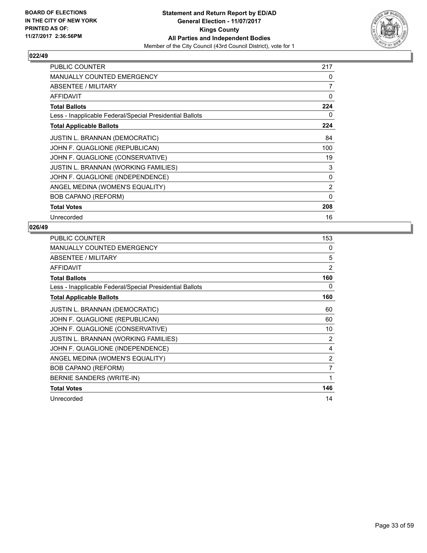

| <b>PUBLIC COUNTER</b>                                    | 217 |
|----------------------------------------------------------|-----|
| <b>MANUALLY COUNTED EMERGENCY</b>                        | 0   |
| ABSENTEE / MILITARY                                      | 7   |
| <b>AFFIDAVIT</b>                                         | 0   |
| <b>Total Ballots</b>                                     | 224 |
| Less - Inapplicable Federal/Special Presidential Ballots | 0   |
| <b>Total Applicable Ballots</b>                          | 224 |
| <b>JUSTIN L. BRANNAN (DEMOCRATIC)</b>                    | 84  |
| JOHN F. QUAGLIONE (REPUBLICAN)                           | 100 |
| JOHN F. QUAGLIONE (CONSERVATIVE)                         | 19  |
| <b>JUSTIN L. BRANNAN (WORKING FAMILIES)</b>              | 3   |
| JOHN F. QUAGLIONE (INDEPENDENCE)                         | 0   |
| ANGEL MEDINA (WOMEN'S EQUALITY)                          | 2   |
| <b>BOB CAPANO (REFORM)</b>                               | 0   |
| <b>Total Votes</b>                                       | 208 |
| Unrecorded                                               | 16  |

| <b>PUBLIC COUNTER</b>                                    | 153            |
|----------------------------------------------------------|----------------|
| <b>MANUALLY COUNTED EMERGENCY</b>                        | 0              |
| ABSENTEE / MILITARY                                      | 5              |
| <b>AFFIDAVIT</b>                                         | $\overline{2}$ |
| <b>Total Ballots</b>                                     | 160            |
| Less - Inapplicable Federal/Special Presidential Ballots | 0              |
| <b>Total Applicable Ballots</b>                          | 160            |
| <b>JUSTIN L. BRANNAN (DEMOCRATIC)</b>                    | 60             |
| JOHN F. QUAGLIONE (REPUBLICAN)                           | 60             |
| JOHN F. QUAGLIONE (CONSERVATIVE)                         | 10             |
| JUSTIN L. BRANNAN (WORKING FAMILIES)                     | $\overline{2}$ |
| JOHN F. QUAGLIONE (INDEPENDENCE)                         | 4              |
| ANGEL MEDINA (WOMEN'S EQUALITY)                          | 2              |
| <b>BOB CAPANO (REFORM)</b>                               | 7              |
| BERNIE SANDERS (WRITE-IN)                                | 1              |
| <b>Total Votes</b>                                       | 146            |
| Unrecorded                                               | 14             |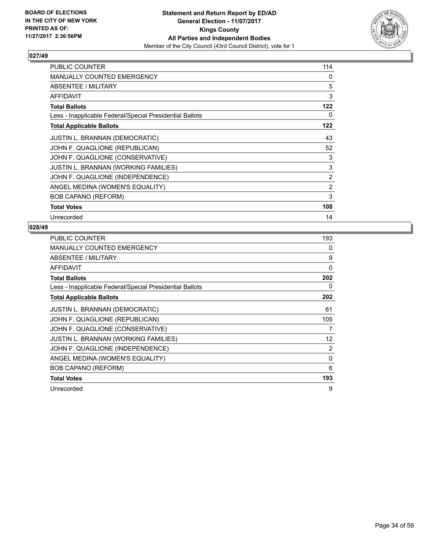

| <b>PUBLIC COUNTER</b>                                    | 114 |
|----------------------------------------------------------|-----|
| <b>MANUALLY COUNTED EMERGENCY</b>                        | 0   |
| ABSENTEE / MILITARY                                      | 5   |
| <b>AFFIDAVIT</b>                                         | 3   |
| <b>Total Ballots</b>                                     | 122 |
| Less - Inapplicable Federal/Special Presidential Ballots | 0   |
| <b>Total Applicable Ballots</b>                          | 122 |
| <b>JUSTIN L. BRANNAN (DEMOCRATIC)</b>                    | 43  |
| JOHN F. QUAGLIONE (REPUBLICAN)                           | 52  |
| JOHN F. QUAGLIONE (CONSERVATIVE)                         | 3   |
| <b>JUSTIN L. BRANNAN (WORKING FAMILIES)</b>              | 3   |
| JOHN F. QUAGLIONE (INDEPENDENCE)                         | 2   |
| ANGEL MEDINA (WOMEN'S EQUALITY)                          | 2   |
| <b>BOB CAPANO (REFORM)</b>                               | 3   |
| <b>Total Votes</b>                                       | 108 |
| Unrecorded                                               | 14  |

| <b>PUBLIC COUNTER</b>                                    | 193               |
|----------------------------------------------------------|-------------------|
| <b>MANUALLY COUNTED EMERGENCY</b>                        | 0                 |
| ABSENTEE / MILITARY                                      | 9                 |
| AFFIDAVIT                                                | 0                 |
| <b>Total Ballots</b>                                     | 202               |
| Less - Inapplicable Federal/Special Presidential Ballots | 0                 |
| <b>Total Applicable Ballots</b>                          | 202               |
| <b>JUSTIN L. BRANNAN (DEMOCRATIC)</b>                    | 61                |
| JOHN F. QUAGLIONE (REPUBLICAN)                           | 105               |
| JOHN F. QUAGLIONE (CONSERVATIVE)                         | 7                 |
| <b>JUSTIN L. BRANNAN (WORKING FAMILIES)</b>              | $12 \overline{ }$ |
| JOHN F. QUAGLIONE (INDEPENDENCE)                         | $\overline{2}$    |
| ANGEL MEDINA (WOMEN'S EQUALITY)                          | $\mathbf{0}$      |
| <b>BOB CAPANO (REFORM)</b>                               | 6                 |
| <b>Total Votes</b>                                       | 193               |
| Unrecorded                                               | 9                 |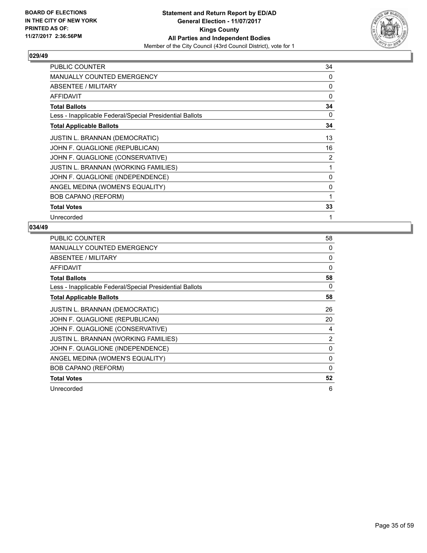

| <b>PUBLIC COUNTER</b>                                    | 34       |
|----------------------------------------------------------|----------|
| <b>MANUALLY COUNTED EMERGENCY</b>                        | 0        |
| ABSENTEE / MILITARY                                      | 0        |
| <b>AFFIDAVIT</b>                                         | $\Omega$ |
| <b>Total Ballots</b>                                     | 34       |
| Less - Inapplicable Federal/Special Presidential Ballots | 0        |
| <b>Total Applicable Ballots</b>                          | 34       |
| <b>JUSTIN L. BRANNAN (DEMOCRATIC)</b>                    | 13       |
| JOHN F. QUAGLIONE (REPUBLICAN)                           | 16       |
| JOHN F. QUAGLIONE (CONSERVATIVE)                         | 2        |
| <b>JUSTIN L. BRANNAN (WORKING FAMILIES)</b>              | 1        |
| JOHN F. QUAGLIONE (INDEPENDENCE)                         | 0        |
| ANGEL MEDINA (WOMEN'S EQUALITY)                          | 0        |
| <b>BOB CAPANO (REFORM)</b>                               | 1        |
| <b>Total Votes</b>                                       | 33       |
| Unrecorded                                               | 1        |

| PUBLIC COUNTER                                           | 58           |
|----------------------------------------------------------|--------------|
| MANUALLY COUNTED EMERGENCY                               | 0            |
| <b>ABSENTEE / MILITARY</b>                               | $\mathbf{0}$ |
| AFFIDAVIT                                                | $\Omega$     |
| <b>Total Ballots</b>                                     | 58           |
| Less - Inapplicable Federal/Special Presidential Ballots | 0            |
| <b>Total Applicable Ballots</b>                          | 58           |
| <b>JUSTIN L. BRANNAN (DEMOCRATIC)</b>                    | 26           |
| JOHN F. QUAGLIONE (REPUBLICAN)                           | 20           |
| JOHN F. QUAGLIONE (CONSERVATIVE)                         | 4            |
| <b>JUSTIN L. BRANNAN (WORKING FAMILIES)</b>              | 2            |
| JOHN F. QUAGLIONE (INDEPENDENCE)                         | 0            |
| ANGEL MEDINA (WOMEN'S EQUALITY)                          | 0            |
| <b>BOB CAPANO (REFORM)</b>                               | 0            |
| <b>Total Votes</b>                                       | 52           |
| Unrecorded                                               | 6            |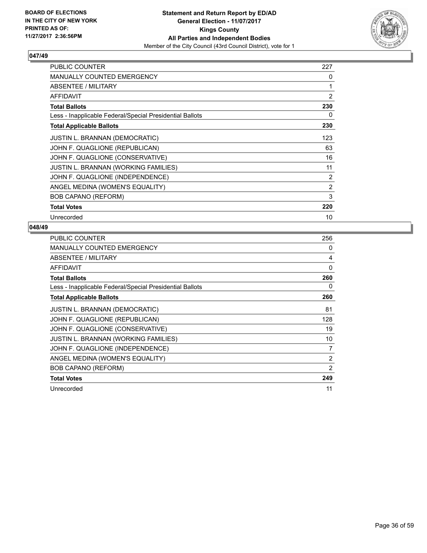

| <b>PUBLIC COUNTER</b>                                    | 227            |
|----------------------------------------------------------|----------------|
| <b>MANUALLY COUNTED EMERGENCY</b>                        | 0              |
| ABSENTEE / MILITARY                                      | 1              |
| <b>AFFIDAVIT</b>                                         | $\overline{2}$ |
| <b>Total Ballots</b>                                     | 230            |
| Less - Inapplicable Federal/Special Presidential Ballots | 0              |
| <b>Total Applicable Ballots</b>                          | 230            |
| <b>JUSTIN L. BRANNAN (DEMOCRATIC)</b>                    | 123            |
| JOHN F. QUAGLIONE (REPUBLICAN)                           | 63             |
| JOHN F. QUAGLIONE (CONSERVATIVE)                         | 16             |
| JUSTIN L. BRANNAN (WORKING FAMILIES)                     | 11             |
| JOHN F. QUAGLIONE (INDEPENDENCE)                         | 2              |
| ANGEL MEDINA (WOMEN'S EQUALITY)                          | 2              |
| <b>BOB CAPANO (REFORM)</b>                               | 3              |
| <b>Total Votes</b>                                       | 220            |
| Unrecorded                                               | 10             |

| <b>PUBLIC COUNTER</b>                                    | 256            |
|----------------------------------------------------------|----------------|
| <b>MANUALLY COUNTED EMERGENCY</b>                        | 0              |
| ABSENTEE / MILITARY                                      | 4              |
| <b>AFFIDAVIT</b>                                         | $\Omega$       |
| <b>Total Ballots</b>                                     | 260            |
| Less - Inapplicable Federal/Special Presidential Ballots | 0              |
| <b>Total Applicable Ballots</b>                          | 260            |
| <b>JUSTIN L. BRANNAN (DEMOCRATIC)</b>                    | 81             |
| JOHN F. QUAGLIONE (REPUBLICAN)                           | 128            |
| JOHN F. QUAGLIONE (CONSERVATIVE)                         | 19             |
| JUSTIN L. BRANNAN (WORKING FAMILIES)                     | 10             |
| JOHN F. QUAGLIONE (INDEPENDENCE)                         | $\overline{7}$ |
| ANGEL MEDINA (WOMEN'S EQUALITY)                          | 2              |
| <b>BOB CAPANO (REFORM)</b>                               | 2              |
| <b>Total Votes</b>                                       | 249            |
| Unrecorded                                               | 11             |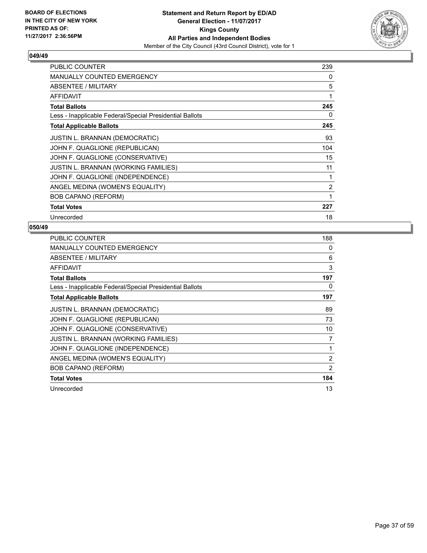

| <b>PUBLIC COUNTER</b>                                    | 239 |
|----------------------------------------------------------|-----|
| <b>MANUALLY COUNTED EMERGENCY</b>                        | 0   |
| ABSENTEE / MILITARY                                      | 5   |
| <b>AFFIDAVIT</b>                                         | 1   |
| <b>Total Ballots</b>                                     | 245 |
| Less - Inapplicable Federal/Special Presidential Ballots | 0   |
| <b>Total Applicable Ballots</b>                          | 245 |
| <b>JUSTIN L. BRANNAN (DEMOCRATIC)</b>                    | 93  |
| JOHN F. QUAGLIONE (REPUBLICAN)                           | 104 |
| JOHN F. QUAGLIONE (CONSERVATIVE)                         | 15  |
| <b>JUSTIN L. BRANNAN (WORKING FAMILIES)</b>              | 11  |
| JOHN F. QUAGLIONE (INDEPENDENCE)                         | 1   |
| ANGEL MEDINA (WOMEN'S EQUALITY)                          | 2   |
| <b>BOB CAPANO (REFORM)</b>                               |     |
| <b>Total Votes</b>                                       | 227 |
| Unrecorded                                               | 18  |

| <b>PUBLIC COUNTER</b>                                    | 188 |
|----------------------------------------------------------|-----|
| <b>MANUALLY COUNTED EMERGENCY</b>                        | 0   |
| ABSENTEE / MILITARY                                      | 6   |
| <b>AFFIDAVIT</b>                                         | 3   |
| <b>Total Ballots</b>                                     | 197 |
| Less - Inapplicable Federal/Special Presidential Ballots | 0   |
| <b>Total Applicable Ballots</b>                          | 197 |
| <b>JUSTIN L. BRANNAN (DEMOCRATIC)</b>                    | 89  |
| JOHN F. QUAGLIONE (REPUBLICAN)                           | 73  |
| JOHN F. QUAGLIONE (CONSERVATIVE)                         | 10  |
| JUSTIN L. BRANNAN (WORKING FAMILIES)                     | 7   |
| JOHN F. QUAGLIONE (INDEPENDENCE)                         | 1   |
| ANGEL MEDINA (WOMEN'S EQUALITY)                          | 2   |
| <b>BOB CAPANO (REFORM)</b>                               | 2   |
| <b>Total Votes</b>                                       | 184 |
| Unrecorded                                               | 13  |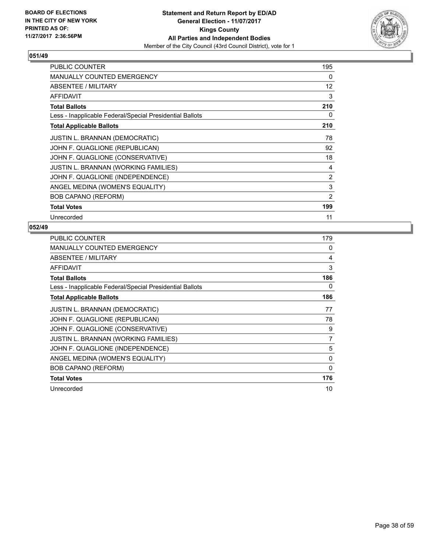

| <b>PUBLIC COUNTER</b>                                    | 195 |
|----------------------------------------------------------|-----|
| <b>MANUALLY COUNTED EMERGENCY</b>                        | 0   |
| ABSENTEE / MILITARY                                      | 12  |
| <b>AFFIDAVIT</b>                                         | 3   |
| <b>Total Ballots</b>                                     | 210 |
| Less - Inapplicable Federal/Special Presidential Ballots | 0   |
| <b>Total Applicable Ballots</b>                          | 210 |
| <b>JUSTIN L. BRANNAN (DEMOCRATIC)</b>                    | 78  |
| JOHN F. QUAGLIONE (REPUBLICAN)                           | 92  |
| JOHN F. QUAGLIONE (CONSERVATIVE)                         | 18  |
| <b>JUSTIN L. BRANNAN (WORKING FAMILIES)</b>              | 4   |
| JOHN F. QUAGLIONE (INDEPENDENCE)                         | 2   |
| ANGEL MEDINA (WOMEN'S EQUALITY)                          | 3   |
| <b>BOB CAPANO (REFORM)</b>                               | 2   |
| <b>Total Votes</b>                                       | 199 |
| Unrecorded                                               | 11  |

| <b>PUBLIC COUNTER</b>                                    | 179 |
|----------------------------------------------------------|-----|
| <b>MANUALLY COUNTED EMERGENCY</b>                        | 0   |
| ABSENTEE / MILITARY                                      | 4   |
| <b>AFFIDAVIT</b>                                         | 3   |
| <b>Total Ballots</b>                                     | 186 |
| Less - Inapplicable Federal/Special Presidential Ballots | 0   |
| <b>Total Applicable Ballots</b>                          | 186 |
| <b>JUSTIN L. BRANNAN (DEMOCRATIC)</b>                    | 77  |
| JOHN F. QUAGLIONE (REPUBLICAN)                           | 78  |
| JOHN F. QUAGLIONE (CONSERVATIVE)                         | 9   |
| JUSTIN L. BRANNAN (WORKING FAMILIES)                     | 7   |
| JOHN F. QUAGLIONE (INDEPENDENCE)                         | 5   |
| ANGEL MEDINA (WOMEN'S EQUALITY)                          | 0   |
| <b>BOB CAPANO (REFORM)</b>                               | 0   |
| <b>Total Votes</b>                                       | 176 |
| Unrecorded                                               | 10  |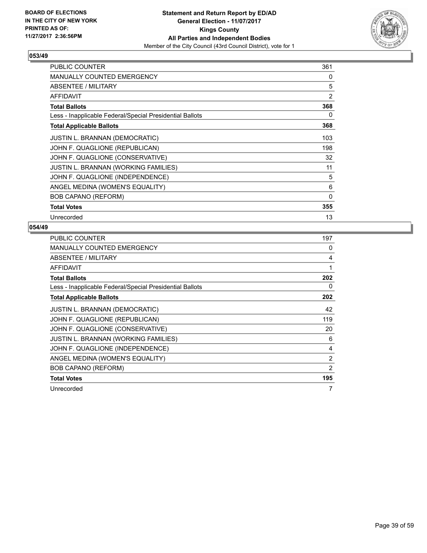

| <b>PUBLIC COUNTER</b>                                    | 361 |
|----------------------------------------------------------|-----|
| <b>MANUALLY COUNTED EMERGENCY</b>                        | 0   |
| ABSENTEE / MILITARY                                      | 5   |
| <b>AFFIDAVIT</b>                                         | 2   |
| <b>Total Ballots</b>                                     | 368 |
| Less - Inapplicable Federal/Special Presidential Ballots | 0   |
| <b>Total Applicable Ballots</b>                          | 368 |
| <b>JUSTIN L. BRANNAN (DEMOCRATIC)</b>                    | 103 |
| JOHN F. QUAGLIONE (REPUBLICAN)                           | 198 |
| JOHN F. QUAGLIONE (CONSERVATIVE)                         | 32  |
| <b>JUSTIN L. BRANNAN (WORKING FAMILIES)</b>              | 11  |
| JOHN F. QUAGLIONE (INDEPENDENCE)                         | 5   |
| ANGEL MEDINA (WOMEN'S EQUALITY)                          | 6   |
| <b>BOB CAPANO (REFORM)</b>                               | 0   |
| <b>Total Votes</b>                                       | 355 |
| Unrecorded                                               | 13  |

| <b>PUBLIC COUNTER</b>                                    | 197 |
|----------------------------------------------------------|-----|
| <b>MANUALLY COUNTED EMERGENCY</b>                        | 0   |
| ABSENTEE / MILITARY                                      | 4   |
| AFFIDAVIT                                                | 1   |
| <b>Total Ballots</b>                                     | 202 |
| Less - Inapplicable Federal/Special Presidential Ballots | 0   |
| <b>Total Applicable Ballots</b>                          | 202 |
| <b>JUSTIN L. BRANNAN (DEMOCRATIC)</b>                    | 42  |
| JOHN F. QUAGLIONE (REPUBLICAN)                           | 119 |
| JOHN F. QUAGLIONE (CONSERVATIVE)                         | 20  |
| <b>JUSTIN L. BRANNAN (WORKING FAMILIES)</b>              | 6   |
| JOHN F. QUAGLIONE (INDEPENDENCE)                         | 4   |
| ANGEL MEDINA (WOMEN'S EQUALITY)                          | 2   |
| <b>BOB CAPANO (REFORM)</b>                               | 2   |
| <b>Total Votes</b>                                       | 195 |
| Unrecorded                                               | 7   |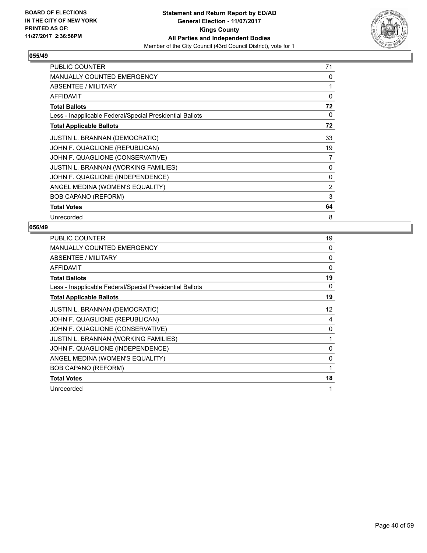

| <b>PUBLIC COUNTER</b>                                    | 71       |
|----------------------------------------------------------|----------|
| <b>MANUALLY COUNTED EMERGENCY</b>                        | 0        |
| ABSENTEE / MILITARY                                      | 1        |
| <b>AFFIDAVIT</b>                                         | $\Omega$ |
| <b>Total Ballots</b>                                     | 72       |
| Less - Inapplicable Federal/Special Presidential Ballots | 0        |
| <b>Total Applicable Ballots</b>                          | 72       |
| <b>JUSTIN L. BRANNAN (DEMOCRATIC)</b>                    | 33       |
| JOHN F. QUAGLIONE (REPUBLICAN)                           | 19       |
| JOHN F. QUAGLIONE (CONSERVATIVE)                         | 7        |
| <b>JUSTIN L. BRANNAN (WORKING FAMILIES)</b>              | 0        |
| JOHN F. QUAGLIONE (INDEPENDENCE)                         | 0        |
| ANGEL MEDINA (WOMEN'S EQUALITY)                          | 2        |
| <b>BOB CAPANO (REFORM)</b>                               | 3        |
| <b>Total Votes</b>                                       | 64       |
| Unrecorded                                               | 8        |

| <b>PUBLIC COUNTER</b>                                    | 19       |
|----------------------------------------------------------|----------|
| <b>MANUALLY COUNTED EMERGENCY</b>                        | 0        |
| <b>ABSENTEE / MILITARY</b>                               | 0        |
| AFFIDAVIT                                                | $\Omega$ |
| <b>Total Ballots</b>                                     | 19       |
| Less - Inapplicable Federal/Special Presidential Ballots | 0        |
| <b>Total Applicable Ballots</b>                          | 19       |
| <b>JUSTIN L. BRANNAN (DEMOCRATIC)</b>                    | 12       |
| JOHN F. QUAGLIONE (REPUBLICAN)                           | 4        |
| JOHN F. QUAGLIONE (CONSERVATIVE)                         | 0        |
| <b>JUSTIN L. BRANNAN (WORKING FAMILIES)</b>              | 1        |
| JOHN F. QUAGLIONE (INDEPENDENCE)                         | $\Omega$ |
| ANGEL MEDINA (WOMEN'S EQUALITY)                          | $\Omega$ |
| <b>BOB CAPANO (REFORM)</b>                               | 1        |
| <b>Total Votes</b>                                       | 18       |
| Unrecorded                                               | 1        |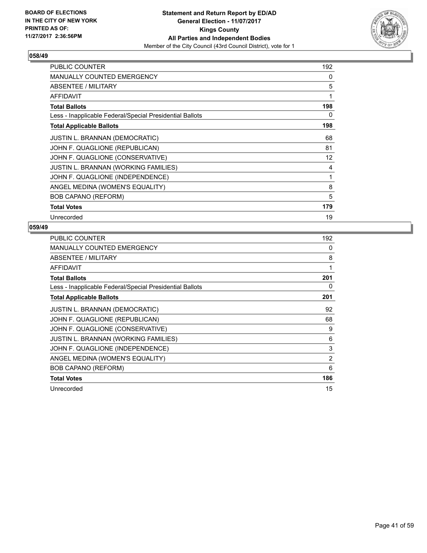

| <b>PUBLIC COUNTER</b>                                    | 192          |
|----------------------------------------------------------|--------------|
| <b>MANUALLY COUNTED EMERGENCY</b>                        | 0            |
| ABSENTEE / MILITARY                                      | 5            |
| <b>AFFIDAVIT</b>                                         | 1            |
| <b>Total Ballots</b>                                     | 198          |
| Less - Inapplicable Federal/Special Presidential Ballots | 0            |
| <b>Total Applicable Ballots</b>                          | 198          |
| <b>JUSTIN L. BRANNAN (DEMOCRATIC)</b>                    | 68           |
| JOHN F. QUAGLIONE (REPUBLICAN)                           | 81           |
| JOHN F. QUAGLIONE (CONSERVATIVE)                         | 12           |
| JUSTIN L. BRANNAN (WORKING FAMILIES)                     | 4            |
| JOHN F. QUAGLIONE (INDEPENDENCE)                         | $\mathbf{1}$ |
| ANGEL MEDINA (WOMEN'S EQUALITY)                          | 8            |
| <b>BOB CAPANO (REFORM)</b>                               | 5            |
| <b>Total Votes</b>                                       | 179          |
| Unrecorded                                               | 19           |

| <b>PUBLIC COUNTER</b>                                    | 192            |
|----------------------------------------------------------|----------------|
| <b>MANUALLY COUNTED EMERGENCY</b>                        | 0              |
| ABSENTEE / MILITARY                                      | 8              |
| AFFIDAVIT                                                | 1              |
| <b>Total Ballots</b>                                     | 201            |
| Less - Inapplicable Federal/Special Presidential Ballots | 0              |
| <b>Total Applicable Ballots</b>                          | 201            |
| <b>JUSTIN L. BRANNAN (DEMOCRATIC)</b>                    | 92             |
| JOHN F. QUAGLIONE (REPUBLICAN)                           | 68             |
| JOHN F. QUAGLIONE (CONSERVATIVE)                         | 9              |
| <b>JUSTIN L. BRANNAN (WORKING FAMILIES)</b>              | 6              |
| JOHN F. QUAGLIONE (INDEPENDENCE)                         | 3              |
| ANGEL MEDINA (WOMEN'S EQUALITY)                          | $\overline{2}$ |
| <b>BOB CAPANO (REFORM)</b>                               | 6              |
| <b>Total Votes</b>                                       | 186            |
| Unrecorded                                               | 15             |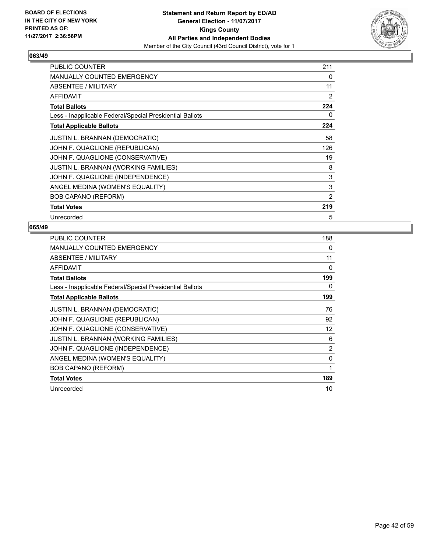

| <b>PUBLIC COUNTER</b>                                    | 211 |
|----------------------------------------------------------|-----|
| <b>MANUALLY COUNTED EMERGENCY</b>                        | 0   |
| ABSENTEE / MILITARY                                      | 11  |
| <b>AFFIDAVIT</b>                                         | 2   |
| <b>Total Ballots</b>                                     | 224 |
| Less - Inapplicable Federal/Special Presidential Ballots | 0   |
| <b>Total Applicable Ballots</b>                          | 224 |
| <b>JUSTIN L. BRANNAN (DEMOCRATIC)</b>                    | 58  |
| JOHN F. QUAGLIONE (REPUBLICAN)                           | 126 |
| JOHN F. QUAGLIONE (CONSERVATIVE)                         | 19  |
| <b>JUSTIN L. BRANNAN (WORKING FAMILIES)</b>              | 8   |
| JOHN F. QUAGLIONE (INDEPENDENCE)                         | 3   |
| ANGEL MEDINA (WOMEN'S EQUALITY)                          | 3   |
| <b>BOB CAPANO (REFORM)</b>                               | 2   |
| <b>Total Votes</b>                                       | 219 |
| Unrecorded                                               | 5   |

| <b>PUBLIC COUNTER</b>                                    | 188            |
|----------------------------------------------------------|----------------|
| <b>MANUALLY COUNTED EMERGENCY</b>                        | 0              |
| ABSENTEE / MILITARY                                      | 11             |
| AFFIDAVIT                                                | 0              |
| <b>Total Ballots</b>                                     | 199            |
| Less - Inapplicable Federal/Special Presidential Ballots | 0              |
| <b>Total Applicable Ballots</b>                          | 199            |
| <b>JUSTIN L. BRANNAN (DEMOCRATIC)</b>                    | 76             |
| JOHN F. QUAGLIONE (REPUBLICAN)                           | 92             |
| JOHN F. QUAGLIONE (CONSERVATIVE)                         | 12             |
| JUSTIN L. BRANNAN (WORKING FAMILIES)                     | 6              |
| JOHN F. QUAGLIONE (INDEPENDENCE)                         | $\overline{2}$ |
| ANGEL MEDINA (WOMEN'S EQUALITY)                          | 0              |
| <b>BOB CAPANO (REFORM)</b>                               | $\mathbf 1$    |
| <b>Total Votes</b>                                       | 189            |
| Unrecorded                                               | 10             |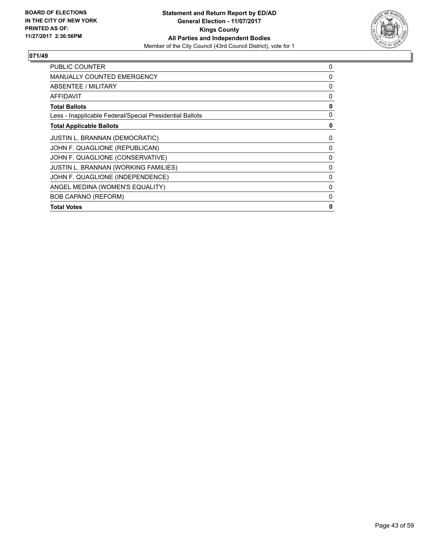

| <b>PUBLIC COUNTER</b>                                    | 0 |
|----------------------------------------------------------|---|
| <b>MANUALLY COUNTED EMERGENCY</b>                        | 0 |
| ABSENTEE / MILITARY                                      | 0 |
| <b>AFFIDAVIT</b>                                         | 0 |
| <b>Total Ballots</b>                                     | 0 |
| Less - Inapplicable Federal/Special Presidential Ballots | 0 |
| <b>Total Applicable Ballots</b>                          | 0 |
| JUSTIN L. BRANNAN (DEMOCRATIC)                           | 0 |
| JOHN F. QUAGLIONE (REPUBLICAN)                           | 0 |
| JOHN F. QUAGLIONE (CONSERVATIVE)                         | 0 |
| <b>JUSTIN L. BRANNAN (WORKING FAMILIES)</b>              | 0 |
| JOHN F. QUAGLIONE (INDEPENDENCE)                         | 0 |
| ANGEL MEDINA (WOMEN'S EQUALITY)                          | 0 |
| <b>BOB CAPANO (REFORM)</b>                               | 0 |
| <b>Total Votes</b>                                       | 0 |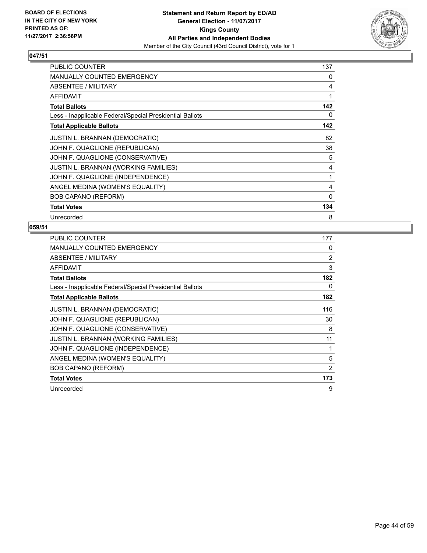

| <b>PUBLIC COUNTER</b>                                    | 137 |
|----------------------------------------------------------|-----|
| <b>MANUALLY COUNTED EMERGENCY</b>                        | 0   |
| ABSENTEE / MILITARY                                      | 4   |
| AFFIDAVIT                                                | 1   |
| <b>Total Ballots</b>                                     | 142 |
| Less - Inapplicable Federal/Special Presidential Ballots | 0   |
| <b>Total Applicable Ballots</b>                          | 142 |
| <b>JUSTIN L. BRANNAN (DEMOCRATIC)</b>                    | 82  |
| JOHN F. QUAGLIONE (REPUBLICAN)                           | 38  |
| JOHN F. QUAGLIONE (CONSERVATIVE)                         | 5   |
| <b>JUSTIN L. BRANNAN (WORKING FAMILIES)</b>              | 4   |
| JOHN F. QUAGLIONE (INDEPENDENCE)                         | 1   |
| ANGEL MEDINA (WOMEN'S EQUALITY)                          | 4   |
| <b>BOB CAPANO (REFORM)</b>                               | 0   |
| <b>Total Votes</b>                                       | 134 |
| Unrecorded                                               | 8   |

| <b>PUBLIC COUNTER</b>                                    | 177            |
|----------------------------------------------------------|----------------|
| <b>MANUALLY COUNTED EMERGENCY</b>                        | 0              |
| ABSENTEE / MILITARY                                      | $\overline{2}$ |
| <b>AFFIDAVIT</b>                                         | 3              |
| <b>Total Ballots</b>                                     | 182            |
| Less - Inapplicable Federal/Special Presidential Ballots | 0              |
| <b>Total Applicable Ballots</b>                          | 182            |
| <b>JUSTIN L. BRANNAN (DEMOCRATIC)</b>                    | 116            |
| JOHN F. QUAGLIONE (REPUBLICAN)                           | 30             |
| JOHN F. QUAGLIONE (CONSERVATIVE)                         | 8              |
| JUSTIN L. BRANNAN (WORKING FAMILIES)                     | 11             |
| JOHN F. QUAGLIONE (INDEPENDENCE)                         | 1              |
| ANGEL MEDINA (WOMEN'S EQUALITY)                          | 5              |
| <b>BOB CAPANO (REFORM)</b>                               | 2              |
| <b>Total Votes</b>                                       | 173            |
| Unrecorded                                               | 9              |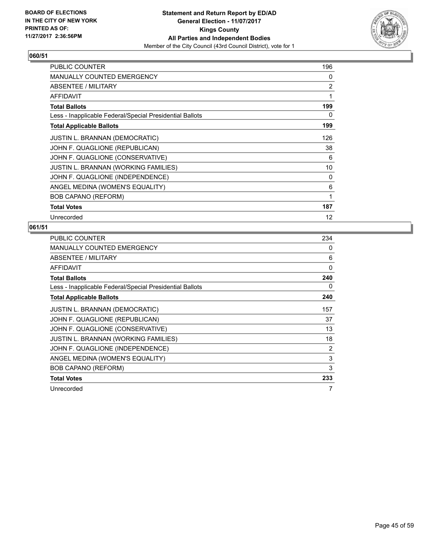

| <b>PUBLIC COUNTER</b>                                    | 196          |
|----------------------------------------------------------|--------------|
| <b>MANUALLY COUNTED EMERGENCY</b>                        | 0            |
| ABSENTEE / MILITARY                                      | 2            |
| <b>AFFIDAVIT</b>                                         | 1            |
| <b>Total Ballots</b>                                     | 199          |
| Less - Inapplicable Federal/Special Presidential Ballots | 0            |
| <b>Total Applicable Ballots</b>                          | 199          |
| <b>JUSTIN L. BRANNAN (DEMOCRATIC)</b>                    | 126          |
| JOHN F. QUAGLIONE (REPUBLICAN)                           | 38           |
| JOHN F. QUAGLIONE (CONSERVATIVE)                         | 6            |
| JUSTIN L. BRANNAN (WORKING FAMILIES)                     | 10           |
| JOHN F. QUAGLIONE (INDEPENDENCE)                         | 0            |
| ANGEL MEDINA (WOMEN'S EQUALITY)                          | 6            |
| <b>BOB CAPANO (REFORM)</b>                               | $\mathbf{1}$ |
| <b>Total Votes</b>                                       | 187          |
| Unrecorded                                               | 12           |

| <b>PUBLIC COUNTER</b>                                    | 234          |
|----------------------------------------------------------|--------------|
| <b>MANUALLY COUNTED EMERGENCY</b>                        | 0            |
| ABSENTEE / MILITARY                                      | 6            |
| <b>AFFIDAVIT</b>                                         | $\mathbf{0}$ |
| <b>Total Ballots</b>                                     | 240          |
| Less - Inapplicable Federal/Special Presidential Ballots | 0            |
| <b>Total Applicable Ballots</b>                          | 240          |
| <b>JUSTIN L. BRANNAN (DEMOCRATIC)</b>                    | 157          |
| JOHN F. QUAGLIONE (REPUBLICAN)                           | 37           |
| JOHN F. QUAGLIONE (CONSERVATIVE)                         | 13           |
| JUSTIN L. BRANNAN (WORKING FAMILIES)                     | 18           |
| JOHN F. QUAGLIONE (INDEPENDENCE)                         | 2            |
| ANGEL MEDINA (WOMEN'S EQUALITY)                          | 3            |
| <b>BOB CAPANO (REFORM)</b>                               | 3            |
| <b>Total Votes</b>                                       | 233          |
| Unrecorded                                               | 7            |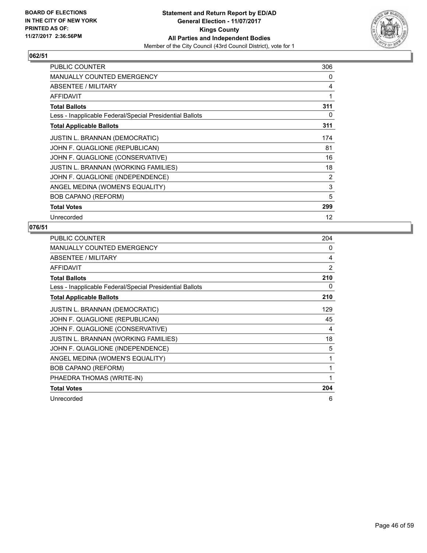

| <b>PUBLIC COUNTER</b>                                    | 306 |
|----------------------------------------------------------|-----|
| <b>MANUALLY COUNTED EMERGENCY</b>                        | 0   |
| ABSENTEE / MILITARY                                      | 4   |
| AFFIDAVIT                                                | 1   |
| <b>Total Ballots</b>                                     | 311 |
| Less - Inapplicable Federal/Special Presidential Ballots | 0   |
| <b>Total Applicable Ballots</b>                          | 311 |
| <b>JUSTIN L. BRANNAN (DEMOCRATIC)</b>                    | 174 |
| JOHN F. QUAGLIONE (REPUBLICAN)                           | 81  |
| JOHN F. QUAGLIONE (CONSERVATIVE)                         | 16  |
| JUSTIN L. BRANNAN (WORKING FAMILIES)                     | 18  |
| JOHN F. QUAGLIONE (INDEPENDENCE)                         | 2   |
| ANGEL MEDINA (WOMEN'S EQUALITY)                          | 3   |
| <b>BOB CAPANO (REFORM)</b>                               | 5   |
| <b>Total Votes</b>                                       | 299 |
| Unrecorded                                               | 12  |

| <b>PUBLIC COUNTER</b>                                    | 204 |
|----------------------------------------------------------|-----|
| <b>MANUALLY COUNTED EMERGENCY</b>                        | 0   |
| ABSENTEE / MILITARY                                      | 4   |
| AFFIDAVIT                                                | 2   |
| <b>Total Ballots</b>                                     | 210 |
| Less - Inapplicable Federal/Special Presidential Ballots | 0   |
| <b>Total Applicable Ballots</b>                          | 210 |
| <b>JUSTIN L. BRANNAN (DEMOCRATIC)</b>                    | 129 |
| JOHN F. QUAGLIONE (REPUBLICAN)                           | 45  |
| JOHN F. QUAGLIONE (CONSERVATIVE)                         | 4   |
| JUSTIN L. BRANNAN (WORKING FAMILIES)                     | 18  |
| JOHN F. QUAGLIONE (INDEPENDENCE)                         | 5   |
| ANGEL MEDINA (WOMEN'S EQUALITY)                          | 1   |
| <b>BOB CAPANO (REFORM)</b>                               | 1   |
| PHAEDRA THOMAS (WRITE-IN)                                | 1   |
| <b>Total Votes</b>                                       | 204 |
| Unrecorded                                               | 6   |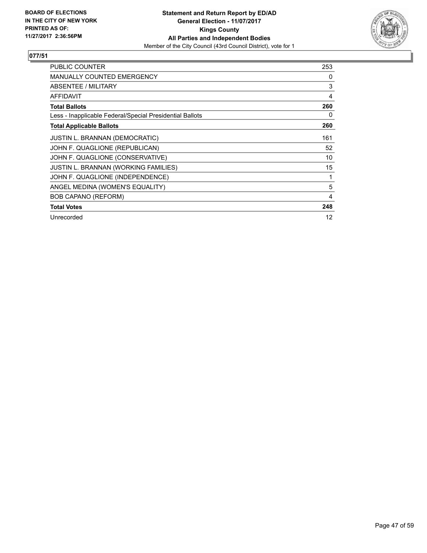

| <b>PUBLIC COUNTER</b>                                    | 253 |
|----------------------------------------------------------|-----|
| <b>MANUALLY COUNTED EMERGENCY</b>                        | 0   |
| ABSENTEE / MILITARY                                      | 3   |
| <b>AFFIDAVIT</b>                                         | 4   |
| <b>Total Ballots</b>                                     | 260 |
| Less - Inapplicable Federal/Special Presidential Ballots | 0   |
| <b>Total Applicable Ballots</b>                          | 260 |
| <b>JUSTIN L. BRANNAN (DEMOCRATIC)</b>                    | 161 |
| JOHN F. QUAGLIONE (REPUBLICAN)                           | 52  |
| JOHN F. QUAGLIONE (CONSERVATIVE)                         | 10  |
| JUSTIN L. BRANNAN (WORKING FAMILIES)                     | 15  |
| JOHN F. QUAGLIONE (INDEPENDENCE)                         | 1   |
| ANGEL MEDINA (WOMEN'S EQUALITY)                          | 5   |
| <b>BOB CAPANO (REFORM)</b>                               | 4   |
| <b>Total Votes</b>                                       | 248 |
| Unrecorded                                               | 12  |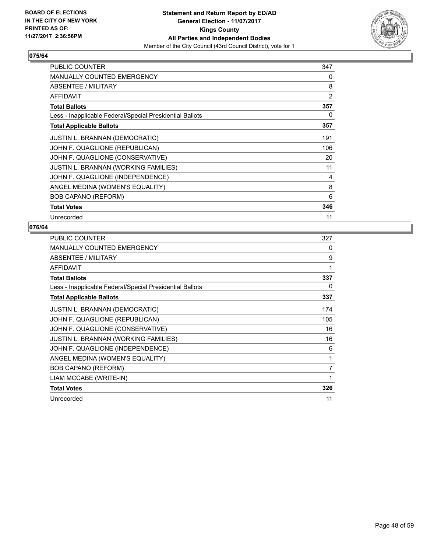

| <b>PUBLIC COUNTER</b>                                    | 347            |
|----------------------------------------------------------|----------------|
| MANUALLY COUNTED EMERGENCY                               | 0              |
| ABSENTEE / MILITARY                                      | 8              |
| <b>AFFIDAVIT</b>                                         | $\overline{2}$ |
| <b>Total Ballots</b>                                     | 357            |
| Less - Inapplicable Federal/Special Presidential Ballots | 0              |
| <b>Total Applicable Ballots</b>                          | 357            |
| <b>JUSTIN L. BRANNAN (DEMOCRATIC)</b>                    | 191            |
| JOHN F. QUAGLIONE (REPUBLICAN)                           | 106            |
| JOHN F. QUAGLIONE (CONSERVATIVE)                         | 20             |
| <b>JUSTIN L. BRANNAN (WORKING FAMILIES)</b>              | 11             |
| JOHN F. QUAGLIONE (INDEPENDENCE)                         | 4              |
| ANGEL MEDINA (WOMEN'S EQUALITY)                          | 8              |
| <b>BOB CAPANO (REFORM)</b>                               | 6              |
| <b>Total Votes</b>                                       | 346            |
| Unrecorded                                               | 11             |

| <b>PUBLIC COUNTER</b>                                    | 327            |
|----------------------------------------------------------|----------------|
| <b>MANUALLY COUNTED EMERGENCY</b>                        | 0              |
| ABSENTEE / MILITARY                                      | 9              |
| AFFIDAVIT                                                | 1              |
| <b>Total Ballots</b>                                     | 337            |
| Less - Inapplicable Federal/Special Presidential Ballots | 0              |
| <b>Total Applicable Ballots</b>                          | 337            |
| <b>JUSTIN L. BRANNAN (DEMOCRATIC)</b>                    | 174            |
| JOHN F. QUAGLIONE (REPUBLICAN)                           | 105            |
| JOHN F. QUAGLIONE (CONSERVATIVE)                         | 16             |
| <b>JUSTIN L. BRANNAN (WORKING FAMILIES)</b>              | 16             |
| JOHN F. QUAGLIONE (INDEPENDENCE)                         | 6              |
| ANGEL MEDINA (WOMEN'S EQUALITY)                          | 1              |
| <b>BOB CAPANO (REFORM)</b>                               | $\overline{7}$ |
| LIAM MCCABE (WRITE-IN)                                   | 1              |
| <b>Total Votes</b>                                       | 326            |
| Unrecorded                                               | 11             |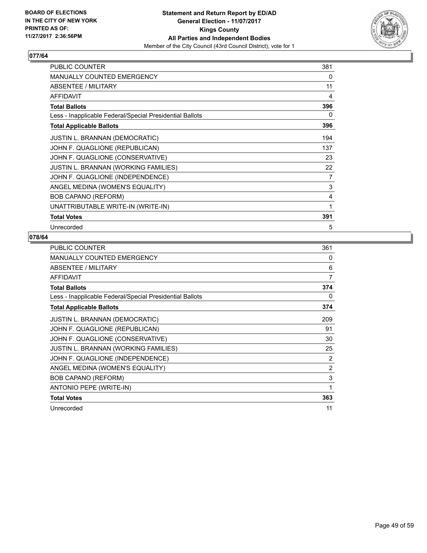

| <b>PUBLIC COUNTER</b>                                    | 381 |
|----------------------------------------------------------|-----|
| MANUALLY COUNTED EMERGENCY                               | 0   |
| <b>ABSENTEE / MILITARY</b>                               | 11  |
| <b>AFFIDAVIT</b>                                         | 4   |
| <b>Total Ballots</b>                                     | 396 |
| Less - Inapplicable Federal/Special Presidential Ballots | 0   |
| <b>Total Applicable Ballots</b>                          | 396 |
| <b>JUSTIN L. BRANNAN (DEMOCRATIC)</b>                    | 194 |
| JOHN F. QUAGLIONE (REPUBLICAN)                           | 137 |
| JOHN F. QUAGLIONE (CONSERVATIVE)                         | 23  |
| JUSTIN L. BRANNAN (WORKING FAMILIES)                     | 22  |
| JOHN F. QUAGLIONE (INDEPENDENCE)                         | 7   |
| ANGEL MEDINA (WOMEN'S EQUALITY)                          | 3   |
| <b>BOB CAPANO (REFORM)</b>                               | 4   |
| UNATTRIBUTABLE WRITE-IN (WRITE-IN)                       | 1   |
| <b>Total Votes</b>                                       | 391 |
| Unrecorded                                               | 5   |

| <b>PUBLIC COUNTER</b>                                    | 361            |
|----------------------------------------------------------|----------------|
| <b>MANUALLY COUNTED EMERGENCY</b>                        | 0              |
| ABSENTEE / MILITARY                                      | 6              |
| <b>AFFIDAVIT</b>                                         | 7              |
| <b>Total Ballots</b>                                     | 374            |
| Less - Inapplicable Federal/Special Presidential Ballots | 0              |
| <b>Total Applicable Ballots</b>                          | 374            |
| <b>JUSTIN L. BRANNAN (DEMOCRATIC)</b>                    | 209            |
| JOHN F. QUAGLIONE (REPUBLICAN)                           | 91             |
| JOHN F. QUAGLIONE (CONSERVATIVE)                         | 30             |
| JUSTIN L. BRANNAN (WORKING FAMILIES)                     | 25             |
| JOHN F. QUAGLIONE (INDEPENDENCE)                         | 2              |
| ANGEL MEDINA (WOMEN'S EQUALITY)                          | $\overline{2}$ |
| <b>BOB CAPANO (REFORM)</b>                               | 3              |
| ANTONIO PEPE (WRITE-IN)                                  | 1              |
| <b>Total Votes</b>                                       | 363            |
| Unrecorded                                               | 11             |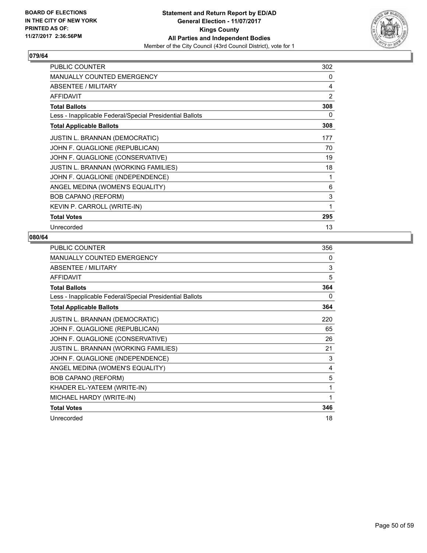

| <b>PUBLIC COUNTER</b>                                    | 302 |
|----------------------------------------------------------|-----|
| MANUALLY COUNTED EMERGENCY                               | 0   |
| ABSENTEE / MILITARY                                      | 4   |
| <b>AFFIDAVIT</b>                                         | 2   |
| <b>Total Ballots</b>                                     | 308 |
| Less - Inapplicable Federal/Special Presidential Ballots | 0   |
| <b>Total Applicable Ballots</b>                          | 308 |
| <b>JUSTIN L. BRANNAN (DEMOCRATIC)</b>                    | 177 |
| JOHN F. QUAGLIONE (REPUBLICAN)                           | 70  |
| JOHN F. QUAGLIONE (CONSERVATIVE)                         | 19  |
| JUSTIN L. BRANNAN (WORKING FAMILIES)                     | 18  |
| JOHN F. QUAGLIONE (INDEPENDENCE)                         | 1   |
| ANGEL MEDINA (WOMEN'S EQUALITY)                          | 6   |
| <b>BOB CAPANO (REFORM)</b>                               | 3   |
| KEVIN P. CARROLL (WRITE-IN)                              | 1   |
| <b>Total Votes</b>                                       | 295 |
| Unrecorded                                               | 13  |

| PUBLIC COUNTER                                           | 356 |
|----------------------------------------------------------|-----|
| MANUALLY COUNTED EMERGENCY                               | 0   |
| ABSENTEE / MILITARY                                      | 3   |
| <b>AFFIDAVIT</b>                                         | 5   |
| <b>Total Ballots</b>                                     | 364 |
| Less - Inapplicable Federal/Special Presidential Ballots | 0   |
| <b>Total Applicable Ballots</b>                          | 364 |
| <b>JUSTIN L. BRANNAN (DEMOCRATIC)</b>                    | 220 |
| JOHN F. QUAGLIONE (REPUBLICAN)                           | 65  |
| JOHN F. QUAGLIONE (CONSERVATIVE)                         | 26  |
| JUSTIN L. BRANNAN (WORKING FAMILIES)                     | 21  |
| JOHN F. QUAGLIONE (INDEPENDENCE)                         | 3   |
| ANGEL MEDINA (WOMEN'S EQUALITY)                          | 4   |
| <b>BOB CAPANO (REFORM)</b>                               | 5   |
| KHADER EL-YATEEM (WRITE-IN)                              | 1   |
| MICHAEL HARDY (WRITE-IN)                                 | 1   |
| <b>Total Votes</b>                                       | 346 |
| Unrecorded                                               | 18  |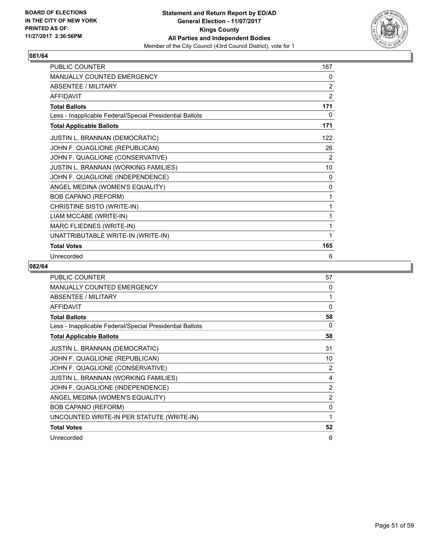

| <b>PUBLIC COUNTER</b>                                    | 167            |
|----------------------------------------------------------|----------------|
| <b>MANUALLY COUNTED EMERGENCY</b>                        | 0              |
| <b>ABSENTEE / MILITARY</b>                               | $\overline{2}$ |
| <b>AFFIDAVIT</b>                                         | $\overline{2}$ |
| <b>Total Ballots</b>                                     | 171            |
| Less - Inapplicable Federal/Special Presidential Ballots | 0              |
| <b>Total Applicable Ballots</b>                          | 171            |
| JUSTIN L. BRANNAN (DEMOCRATIC)                           | 122            |
| JOHN F. QUAGLIONE (REPUBLICAN)                           | 26             |
| JOHN F. QUAGLIONE (CONSERVATIVE)                         | 2              |
| JUSTIN L. BRANNAN (WORKING FAMILIES)                     | 10             |
| JOHN F. QUAGLIONE (INDEPENDENCE)                         | 0              |
| ANGEL MEDINA (WOMEN'S EQUALITY)                          | $\mathbf{0}$   |
| <b>BOB CAPANO (REFORM)</b>                               | 1              |
| CHRISTINE SISTO (WRITE-IN)                               | 1              |
| LIAM MCCABE (WRITE-IN)                                   | 1              |
| MARC FLIEDNES (WRITE-IN)                                 | 1              |
| UNATTRIBUTABLE WRITE-IN (WRITE-IN)                       |                |
| <b>Total Votes</b>                                       | 165            |
| Unrecorded                                               | 6              |

| <b>PUBLIC COUNTER</b>                                    | 57 |
|----------------------------------------------------------|----|
| <b>MANUALLY COUNTED EMERGENCY</b>                        | 0  |
| <b>ABSENTEE / MILITARY</b>                               | 1  |
| <b>AFFIDAVIT</b>                                         | 0  |
| <b>Total Ballots</b>                                     | 58 |
| Less - Inapplicable Federal/Special Presidential Ballots | 0  |
| <b>Total Applicable Ballots</b>                          | 58 |
| <b>JUSTIN L. BRANNAN (DEMOCRATIC)</b>                    | 31 |
| JOHN F. QUAGLIONE (REPUBLICAN)                           | 10 |
| JOHN F. QUAGLIONE (CONSERVATIVE)                         | 2  |
| JUSTIN L. BRANNAN (WORKING FAMILIES)                     | 4  |
| JOHN F. QUAGLIONE (INDEPENDENCE)                         | 2  |
| ANGEL MEDINA (WOMEN'S EQUALITY)                          | 2  |
| <b>BOB CAPANO (REFORM)</b>                               | 0  |
| UNCOUNTED WRITE-IN PER STATUTE (WRITE-IN)                | 1  |
| <b>Total Votes</b>                                       | 52 |
| Unrecorded                                               | 6  |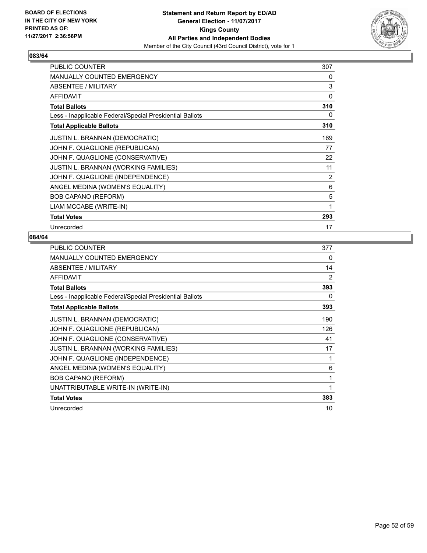

| <b>PUBLIC COUNTER</b>                                    | 307 |
|----------------------------------------------------------|-----|
| <b>MANUALLY COUNTED EMERGENCY</b>                        | 0   |
| ABSENTEE / MILITARY                                      | 3   |
| <b>AFFIDAVIT</b>                                         | 0   |
| <b>Total Ballots</b>                                     | 310 |
| Less - Inapplicable Federal/Special Presidential Ballots | 0   |
| <b>Total Applicable Ballots</b>                          | 310 |
| <b>JUSTIN L. BRANNAN (DEMOCRATIC)</b>                    | 169 |
| JOHN F. QUAGLIONE (REPUBLICAN)                           | 77  |
| JOHN F. QUAGLIONE (CONSERVATIVE)                         | 22  |
| JUSTIN L. BRANNAN (WORKING FAMILIES)                     | 11  |
| JOHN F. QUAGLIONE (INDEPENDENCE)                         | 2   |
| ANGEL MEDINA (WOMEN'S EQUALITY)                          | 6   |
| <b>BOB CAPANO (REFORM)</b>                               | 5   |
| LIAM MCCABE (WRITE-IN)                                   | 1   |
| <b>Total Votes</b>                                       | 293 |
| Unrecorded                                               | 17  |

| <b>PUBLIC COUNTER</b>                                    | 377 |
|----------------------------------------------------------|-----|
| <b>MANUALLY COUNTED EMERGENCY</b>                        | 0   |
| ABSENTEE / MILITARY                                      | 14  |
| AFFIDAVIT                                                | 2   |
| <b>Total Ballots</b>                                     | 393 |
| Less - Inapplicable Federal/Special Presidential Ballots | 0   |
| <b>Total Applicable Ballots</b>                          | 393 |
| <b>JUSTIN L. BRANNAN (DEMOCRATIC)</b>                    | 190 |
| JOHN F. QUAGLIONE (REPUBLICAN)                           | 126 |
| JOHN F. QUAGLIONE (CONSERVATIVE)                         | 41  |
| JUSTIN L. BRANNAN (WORKING FAMILIES)                     | 17  |
| JOHN F. QUAGLIONE (INDEPENDENCE)                         | 1   |
| ANGEL MEDINA (WOMEN'S EQUALITY)                          | 6   |
| <b>BOB CAPANO (REFORM)</b>                               | 1   |
| UNATTRIBUTABLE WRITE-IN (WRITE-IN)                       | 1   |
| <b>Total Votes</b>                                       | 383 |
| Unrecorded                                               | 10  |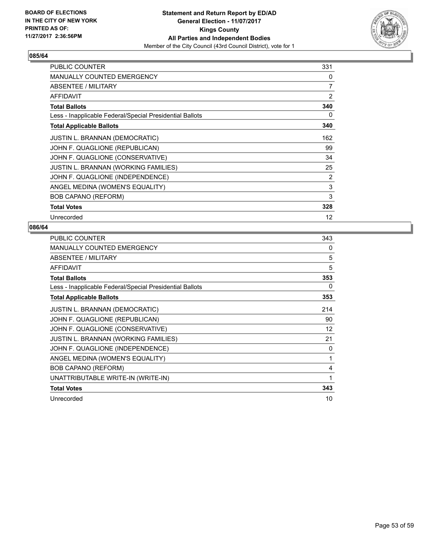

| <b>PUBLIC COUNTER</b>                                    | 331 |
|----------------------------------------------------------|-----|
| <b>MANUALLY COUNTED EMERGENCY</b>                        | 0   |
| ABSENTEE / MILITARY                                      | 7   |
| <b>AFFIDAVIT</b>                                         | 2   |
| <b>Total Ballots</b>                                     | 340 |
| Less - Inapplicable Federal/Special Presidential Ballots | 0   |
| <b>Total Applicable Ballots</b>                          | 340 |
| <b>JUSTIN L. BRANNAN (DEMOCRATIC)</b>                    | 162 |
| JOHN F. QUAGLIONE (REPUBLICAN)                           | 99  |
| JOHN F. QUAGLIONE (CONSERVATIVE)                         | 34  |
| JUSTIN L. BRANNAN (WORKING FAMILIES)                     | 25  |
| JOHN F. QUAGLIONE (INDEPENDENCE)                         | 2   |
| ANGEL MEDINA (WOMEN'S EQUALITY)                          | 3   |
| <b>BOB CAPANO (REFORM)</b>                               | 3   |
| <b>Total Votes</b>                                       | 328 |
| Unrecorded                                               | 12  |

| <b>PUBLIC COUNTER</b>                                    | 343 |
|----------------------------------------------------------|-----|
| <b>MANUALLY COUNTED EMERGENCY</b>                        | 0   |
| ABSENTEE / MILITARY                                      | 5   |
| <b>AFFIDAVIT</b>                                         | 5   |
| <b>Total Ballots</b>                                     | 353 |
| Less - Inapplicable Federal/Special Presidential Ballots | 0   |
| <b>Total Applicable Ballots</b>                          | 353 |
| <b>JUSTIN L. BRANNAN (DEMOCRATIC)</b>                    | 214 |
| JOHN F. QUAGLIONE (REPUBLICAN)                           | 90  |
| JOHN F. QUAGLIONE (CONSERVATIVE)                         | 12  |
| <b>JUSTIN L. BRANNAN (WORKING FAMILIES)</b>              | 21  |
| JOHN F. QUAGLIONE (INDEPENDENCE)                         | 0   |
| ANGEL MEDINA (WOMEN'S EQUALITY)                          | 1   |
| <b>BOB CAPANO (REFORM)</b>                               | 4   |
| UNATTRIBUTABLE WRITE-IN (WRITE-IN)                       | 1   |
| <b>Total Votes</b>                                       | 343 |
| Unrecorded                                               | 10  |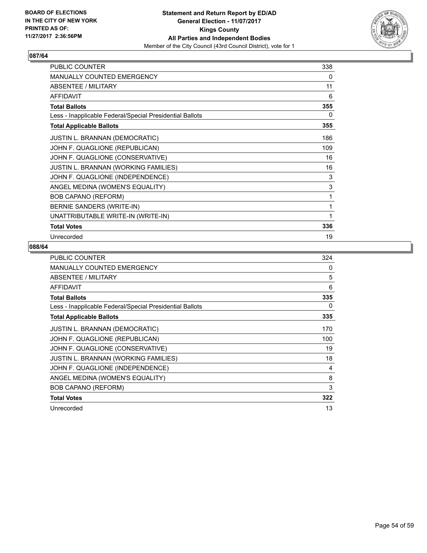

| <b>PUBLIC COUNTER</b>                                    | 338 |
|----------------------------------------------------------|-----|
| MANUALLY COUNTED EMERGENCY                               | 0   |
| <b>ABSENTEE / MILITARY</b>                               | 11  |
| <b>AFFIDAVIT</b>                                         | 6   |
| <b>Total Ballots</b>                                     | 355 |
| Less - Inapplicable Federal/Special Presidential Ballots | 0   |
| <b>Total Applicable Ballots</b>                          | 355 |
| <b>JUSTIN L. BRANNAN (DEMOCRATIC)</b>                    | 186 |
| JOHN F. QUAGLIONE (REPUBLICAN)                           | 109 |
| JOHN F. QUAGLIONE (CONSERVATIVE)                         | 16  |
| JUSTIN L. BRANNAN (WORKING FAMILIES)                     | 16  |
| JOHN F. QUAGLIONE (INDEPENDENCE)                         | 3   |
| ANGEL MEDINA (WOMEN'S EQUALITY)                          | 3   |
| <b>BOB CAPANO (REFORM)</b>                               | 1   |
| BERNIE SANDERS (WRITE-IN)                                | 1   |
| UNATTRIBUTABLE WRITE-IN (WRITE-IN)                       | 1   |
| <b>Total Votes</b>                                       | 336 |
| Unrecorded                                               | 19  |

| <b>PUBLIC COUNTER</b>                                    | 324 |
|----------------------------------------------------------|-----|
| <b>MANUALLY COUNTED EMERGENCY</b>                        | 0   |
| ABSENTEE / MILITARY                                      | 5   |
| <b>AFFIDAVIT</b>                                         | 6   |
| <b>Total Ballots</b>                                     | 335 |
| Less - Inapplicable Federal/Special Presidential Ballots | 0   |
| <b>Total Applicable Ballots</b>                          | 335 |
| <b>JUSTIN L. BRANNAN (DEMOCRATIC)</b>                    | 170 |
| JOHN F. QUAGLIONE (REPUBLICAN)                           | 100 |
| JOHN F. QUAGLIONE (CONSERVATIVE)                         | 19  |
| JUSTIN L. BRANNAN (WORKING FAMILIES)                     | 18  |
| JOHN F. QUAGLIONE (INDEPENDENCE)                         | 4   |
| ANGEL MEDINA (WOMEN'S EQUALITY)                          | 8   |
| <b>BOB CAPANO (REFORM)</b>                               | 3   |
| <b>Total Votes</b>                                       | 322 |
| Unrecorded                                               | 13  |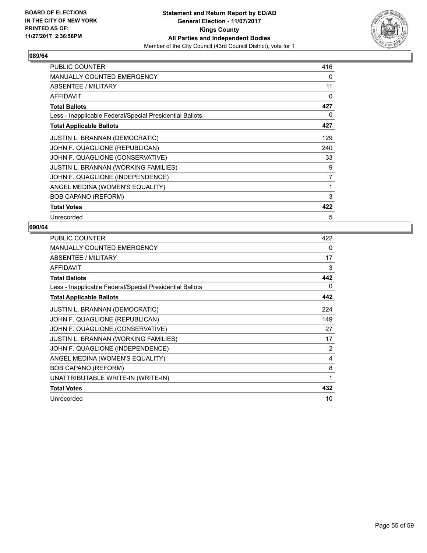

| PUBLIC COUNTER                                           | 416 |
|----------------------------------------------------------|-----|
| <b>MANUALLY COUNTED EMERGENCY</b>                        | 0   |
| ABSENTEE / MILITARY                                      | 11  |
| <b>AFFIDAVIT</b>                                         | 0   |
| <b>Total Ballots</b>                                     | 427 |
| Less - Inapplicable Federal/Special Presidential Ballots | 0   |
| <b>Total Applicable Ballots</b>                          | 427 |
| <b>JUSTIN L. BRANNAN (DEMOCRATIC)</b>                    | 129 |
| JOHN F. QUAGLIONE (REPUBLICAN)                           | 240 |
| JOHN F. QUAGLIONE (CONSERVATIVE)                         | 33  |
| <b>JUSTIN L. BRANNAN (WORKING FAMILIES)</b>              | 9   |
| JOHN F. QUAGLIONE (INDEPENDENCE)                         | 7   |
| ANGEL MEDINA (WOMEN'S EQUALITY)                          | 1   |
| <b>BOB CAPANO (REFORM)</b>                               | 3   |
| <b>Total Votes</b>                                       | 422 |
| Unrecorded                                               | 5   |

| <b>PUBLIC COUNTER</b>                                    | 422            |
|----------------------------------------------------------|----------------|
| <b>MANUALLY COUNTED EMERGENCY</b>                        | 0              |
| ABSENTEE / MILITARY                                      | 17             |
| <b>AFFIDAVIT</b>                                         | 3              |
| <b>Total Ballots</b>                                     | 442            |
| Less - Inapplicable Federal/Special Presidential Ballots | 0              |
| <b>Total Applicable Ballots</b>                          | 442            |
| <b>JUSTIN L. BRANNAN (DEMOCRATIC)</b>                    | 224            |
| JOHN F. QUAGLIONE (REPUBLICAN)                           | 149            |
| JOHN F. QUAGLIONE (CONSERVATIVE)                         | 27             |
| <b>JUSTIN L. BRANNAN (WORKING FAMILIES)</b>              | 17             |
| JOHN F. QUAGLIONE (INDEPENDENCE)                         | $\overline{2}$ |
| ANGEL MEDINA (WOMEN'S EQUALITY)                          | 4              |
| <b>BOB CAPANO (REFORM)</b>                               | 8              |
| UNATTRIBUTABLE WRITE-IN (WRITE-IN)                       | 1              |
| <b>Total Votes</b>                                       | 432            |
| Unrecorded                                               | 10             |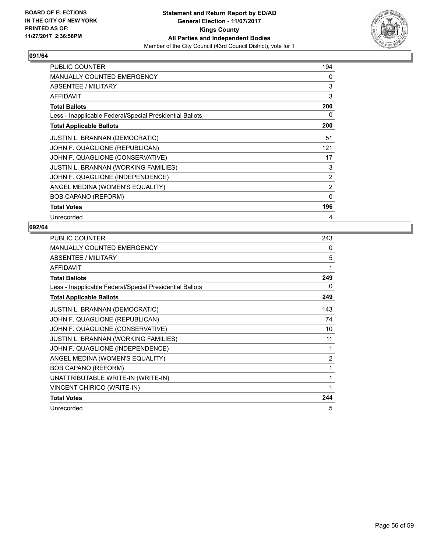

| <b>PUBLIC COUNTER</b>                                    | 194            |
|----------------------------------------------------------|----------------|
| <b>MANUALLY COUNTED EMERGENCY</b>                        | 0              |
| ABSENTEE / MILITARY                                      | 3              |
| <b>AFFIDAVIT</b>                                         | 3              |
| <b>Total Ballots</b>                                     | 200            |
| Less - Inapplicable Federal/Special Presidential Ballots | 0              |
| <b>Total Applicable Ballots</b>                          | 200            |
| <b>JUSTIN L. BRANNAN (DEMOCRATIC)</b>                    | 51             |
| JOHN F. QUAGLIONE (REPUBLICAN)                           | 121            |
| JOHN F. QUAGLIONE (CONSERVATIVE)                         | 17             |
| <b>JUSTIN L. BRANNAN (WORKING FAMILIES)</b>              | 3              |
| JOHN F. QUAGLIONE (INDEPENDENCE)                         | $\overline{2}$ |
| ANGEL MEDINA (WOMEN'S EQUALITY)                          | $\overline{2}$ |
| <b>BOB CAPANO (REFORM)</b>                               | $\Omega$       |
| <b>Total Votes</b>                                       | 196            |
| Unrecorded                                               | 4              |

| <b>PUBLIC COUNTER</b>                                    | 243 |
|----------------------------------------------------------|-----|
| <b>MANUALLY COUNTED EMERGENCY</b>                        | 0   |
| ABSENTEE / MILITARY                                      | 5   |
| <b>AFFIDAVIT</b>                                         | 1   |
| <b>Total Ballots</b>                                     | 249 |
| Less - Inapplicable Federal/Special Presidential Ballots | 0   |
| <b>Total Applicable Ballots</b>                          | 249 |
| <b>JUSTIN L. BRANNAN (DEMOCRATIC)</b>                    | 143 |
| JOHN F. QUAGLIONE (REPUBLICAN)                           | 74  |
| JOHN F. QUAGLIONE (CONSERVATIVE)                         | 10  |
| JUSTIN L. BRANNAN (WORKING FAMILIES)                     | 11  |
| JOHN F. QUAGLIONE (INDEPENDENCE)                         |     |
| ANGEL MEDINA (WOMEN'S EQUALITY)                          | 2   |
| <b>BOB CAPANO (REFORM)</b>                               | 1   |
| UNATTRIBUTABLE WRITE-IN (WRITE-IN)                       | 1   |
| VINCENT CHIRICO (WRITE-IN)                               |     |
| <b>Total Votes</b>                                       | 244 |
| Unrecorded                                               | 5   |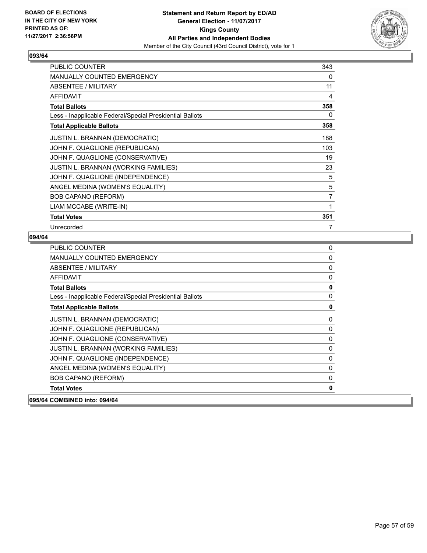

| <b>PUBLIC COUNTER</b>                                    | 343 |
|----------------------------------------------------------|-----|
| MANUALLY COUNTED EMERGENCY                               | 0   |
| ABSENTEE / MILITARY                                      | 11  |
| <b>AFFIDAVIT</b>                                         | 4   |
| <b>Total Ballots</b>                                     | 358 |
| Less - Inapplicable Federal/Special Presidential Ballots | 0   |
| <b>Total Applicable Ballots</b>                          | 358 |
| <b>JUSTIN L. BRANNAN (DEMOCRATIC)</b>                    | 188 |
| JOHN F. QUAGLIONE (REPUBLICAN)                           | 103 |
| JOHN F. QUAGLIONE (CONSERVATIVE)                         | 19  |
| <b>JUSTIN L. BRANNAN (WORKING FAMILIES)</b>              | 23  |
| JOHN F. QUAGLIONE (INDEPENDENCE)                         | 5   |
| ANGEL MEDINA (WOMEN'S EQUALITY)                          | 5   |
| <b>BOB CAPANO (REFORM)</b>                               | 7   |
| LIAM MCCABE (WRITE-IN)                                   | 1   |
| <b>Total Votes</b>                                       | 351 |
| Unrecorded                                               | 7   |

| <b>PUBLIC COUNTER</b>                                    | 0           |
|----------------------------------------------------------|-------------|
| <b>MANUALLY COUNTED EMERGENCY</b>                        | 0           |
| <b>ABSENTEE / MILITARY</b>                               | 0           |
| <b>AFFIDAVIT</b>                                         | $\mathbf 0$ |
| <b>Total Ballots</b>                                     | $\mathbf 0$ |
| Less - Inapplicable Federal/Special Presidential Ballots | 0           |
| <b>Total Applicable Ballots</b>                          | 0           |
| <b>JUSTIN L. BRANNAN (DEMOCRATIC)</b>                    | 0           |
| JOHN F. QUAGLIONE (REPUBLICAN)                           | 0           |
| JOHN F. QUAGLIONE (CONSERVATIVE)                         | 0           |
| JUSTIN L. BRANNAN (WORKING FAMILIES)                     | 0           |
| JOHN F. QUAGLIONE (INDEPENDENCE)                         | 0           |
| ANGEL MEDINA (WOMEN'S EQUALITY)                          | 0           |
| <b>BOB CAPANO (REFORM)</b>                               | 0           |
| <b>Total Votes</b>                                       | $\mathbf 0$ |
| 095/64 COMBINED into: 094/64                             |             |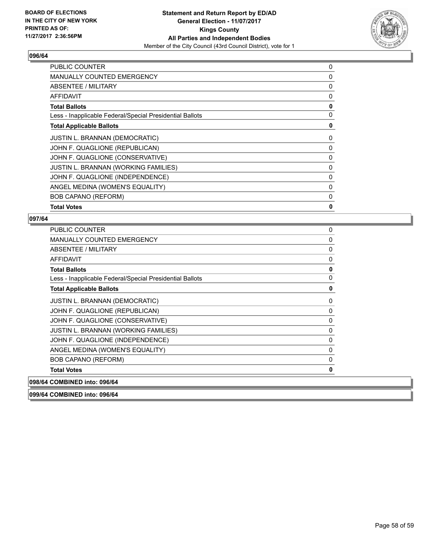

| <b>PUBLIC COUNTER</b>                                    | 0 |
|----------------------------------------------------------|---|
| <b>MANUALLY COUNTED EMERGENCY</b>                        | 0 |
| ABSENTEE / MILITARY                                      | 0 |
| <b>AFFIDAVIT</b>                                         | 0 |
| <b>Total Ballots</b>                                     | 0 |
| Less - Inapplicable Federal/Special Presidential Ballots | 0 |
| <b>Total Applicable Ballots</b>                          | 0 |
| <b>JUSTIN L. BRANNAN (DEMOCRATIC)</b>                    | 0 |
| JOHN F. QUAGLIONE (REPUBLICAN)                           | 0 |
| JOHN F. QUAGLIONE (CONSERVATIVE)                         | 0 |
| JUSTIN L. BRANNAN (WORKING FAMILIES)                     | 0 |
| JOHN F. QUAGLIONE (INDEPENDENCE)                         | 0 |
| ANGEL MEDINA (WOMEN'S EQUALITY)                          | 0 |
| <b>BOB CAPANO (REFORM)</b>                               | 0 |
| <b>Total Votes</b>                                       | 0 |

#### **097/64**

| PUBLIC COUNTER                                           | 0        |
|----------------------------------------------------------|----------|
| <b>MANUALLY COUNTED EMERGENCY</b>                        | 0        |
| ABSENTEE / MILITARY                                      | $\Omega$ |
| <b>AFFIDAVIT</b>                                         | 0        |
| <b>Total Ballots</b>                                     | 0        |
| Less - Inapplicable Federal/Special Presidential Ballots | 0        |
| <b>Total Applicable Ballots</b>                          | 0        |
| <b>JUSTIN L. BRANNAN (DEMOCRATIC)</b>                    | 0        |
| JOHN F. QUAGLIONE (REPUBLICAN)                           | 0        |
| JOHN F. QUAGLIONE (CONSERVATIVE)                         | 0        |
| <b>JUSTIN L. BRANNAN (WORKING FAMILIES)</b>              | 0        |
| JOHN F. QUAGLIONE (INDEPENDENCE)                         | 0        |
| ANGEL MEDINA (WOMEN'S EQUALITY)                          | 0        |
| <b>BOB CAPANO (REFORM)</b>                               | 0        |
| <b>Total Votes</b>                                       | 0        |
| 098/64 COMBINED into: 096/64                             |          |

**099/64 COMBINED into: 096/64**